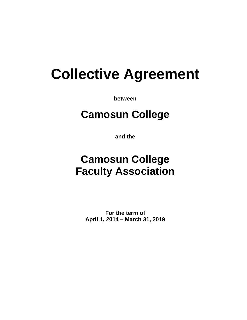# **Collective Agreement**

**between**

# **Camosun College**

**and the**

# **Camosun College Faculty Association**

**For the term of April 1, 2014 – March 31, 2019**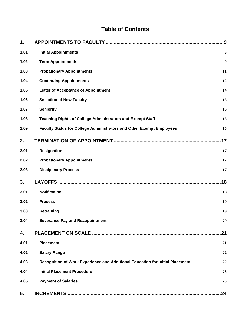# **Table of Contents**

| 1.   |                                                                               | 9   |
|------|-------------------------------------------------------------------------------|-----|
| 1.01 | <b>Initial Appointments</b>                                                   | 9   |
| 1.02 | <b>Term Appointments</b>                                                      | 9   |
| 1.03 | <b>Probationary Appointments</b>                                              | 11  |
| 1.04 | <b>Continuing Appointments</b>                                                | 12  |
| 1.05 | <b>Letter of Acceptance of Appointment</b>                                    | 14  |
| 1.06 | <b>Selection of New Faculty</b>                                               | 15  |
| 1.07 | <b>Seniority</b>                                                              | 15  |
| 1.08 | <b>Teaching Rights of College Administrators and Exempt Staff</b>             | 15  |
| 1.09 | Faculty Status for College Administrators and Other Exempt Employees          | 15  |
| 2.   |                                                                               | .17 |
| 2.01 | <b>Resignation</b>                                                            | 17  |
| 2.02 | <b>Probationary Appointments</b>                                              | 17  |
| 2.03 | <b>Disciplinary Process</b>                                                   | 17  |
| 3.   |                                                                               | 18  |
| 3.01 | <b>Notification</b>                                                           | 18  |
| 3.02 | <b>Process</b>                                                                | 19  |
| 3.03 | Retraining                                                                    | 19  |
| 3.04 | Severance Pay and Reappointment                                               | 20  |
| 4.   |                                                                               | 21  |
| 4.01 | <b>Placement</b>                                                              | 21  |
| 4.02 | <b>Salary Range</b>                                                           | 22  |
| 4.03 | Recognition of Work Experience and Additional Education for Initial Placement | 22  |
| 4.04 | <b>Initial Placement Procedure</b>                                            | 23  |
| 4.05 | <b>Payment of Salaries</b>                                                    | 23  |
| 5.   |                                                                               | 24  |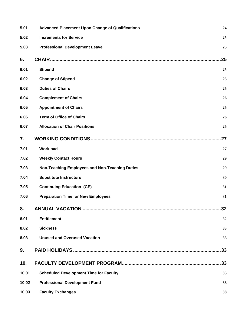| 5.01  | <b>Advanced Placement Upon Change of Qualifications</b> | 24  |
|-------|---------------------------------------------------------|-----|
| 5.02  | <b>Increments for Service</b>                           | 25  |
| 5.03  | <b>Professional Development Leave</b>                   | 25  |
| 6.    |                                                         | 25  |
| 6.01  | <b>Stipend</b>                                          | 25  |
| 6.02  | <b>Change of Stipend</b>                                | 25  |
| 6.03  | <b>Duties of Chairs</b>                                 | 26  |
| 6.04  | <b>Complement of Chairs</b>                             | 26  |
| 6.05  | <b>Appointment of Chairs</b>                            | 26  |
| 6.06  | <b>Term of Office of Chairs</b>                         | 26  |
| 6.07  | <b>Allocation of Chair Positions</b>                    | 26  |
| 7.    |                                                         | 27  |
| 7.01  | Workload                                                | 27  |
| 7.02  | <b>Weekly Contact Hours</b>                             | 29  |
| 7.03  | Non-Teaching Employees and Non-Teaching Duties          | 29  |
| 7.04  | <b>Substitute Instructors</b>                           | 30  |
| 7.05  | <b>Continuing Education (CE)</b>                        | 31  |
| 7.06  | <b>Preparation Time for New Employees</b>               | 31  |
| 8.    |                                                         | 32  |
| 8.01  | <b>Entitlement</b>                                      | 32  |
| 8.02  | <b>Sickness</b>                                         | 33  |
| 8.03  | <b>Unused and Overused Vacation</b>                     | 33  |
| 9.    |                                                         | .33 |
| 10.   |                                                         | .33 |
| 10.01 | <b>Scheduled Development Time for Faculty</b>           | 33  |
| 10.02 | <b>Professional Development Fund</b>                    | 38  |
| 10.03 | <b>Faculty Exchanges</b>                                | 38  |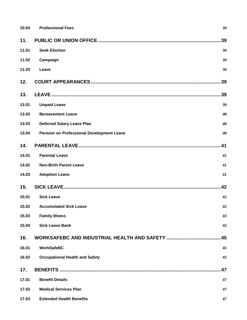| 10.04 | <b>Professional Fees</b>                         | 39 |
|-------|--------------------------------------------------|----|
| 11.   |                                                  | 39 |
| 11.01 | <b>Seek Election</b>                             | 39 |
| 11.02 | Campaign                                         | 39 |
| 11.03 | Leave                                            | 39 |
| 12.   |                                                  | 39 |
| 13.   |                                                  | 39 |
| 13.01 | <b>Unpaid Leave</b>                              | 39 |
| 13.02 | <b>Bereavement Leave</b>                         | 40 |
| 13.03 | <b>Deferred Salary Leave Plan</b>                | 40 |
| 13.04 | <b>Pension on Professional Development Leave</b> | 40 |
| 14.   |                                                  | 41 |
| 14.01 | <b>Parental Leave</b>                            | 41 |
| 14.02 | <b>Non-Birth Parent Leave</b>                    | 41 |
| 14.03 | <b>Adoption Leave</b>                            | 41 |
| 15.   |                                                  | 42 |
| 15.01 | <b>Sick Leave</b>                                | 42 |
|       | 15.02 Accumulated Sick Leave                     | 42 |
| 15.03 | <b>Family Illness</b>                            | 43 |
| 15.04 | <b>Sick Leave Bank</b>                           | 43 |
| 16.   |                                                  | 45 |
| 16.01 | <b>WorkSafeBC</b>                                | 45 |
| 16.02 | <b>Occupational Health and Safety</b>            | 45 |
| 17.   |                                                  | 47 |
| 17.01 | <b>Benefit Details</b>                           | 47 |
| 17.02 | <b>Medical Services Plan</b>                     | 47 |
| 17.03 | <b>Extended Health Benefits</b>                  | 47 |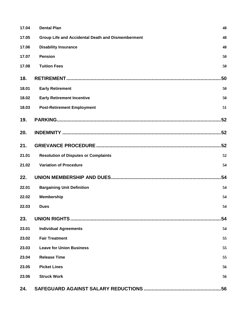| 17.04 | <b>Dental Plan</b>                                       | 48  |
|-------|----------------------------------------------------------|-----|
| 17.05 | <b>Group Life and Accidental Death and Dismemberment</b> | 48  |
| 17.06 | <b>Disability Insurance</b>                              | 48  |
| 17.07 | <b>Pension</b>                                           | 50  |
| 17.08 | <b>Tuition Fees</b>                                      | 50  |
| 18.   |                                                          | 50  |
| 18.01 | <b>Early Retirement</b>                                  | 50  |
| 18.02 | <b>Early Retirement Incentive</b>                        | 50  |
| 18.03 | <b>Post-Retirement Employment</b>                        | 51  |
| 19.   |                                                          |     |
| 20.   |                                                          | .52 |
| 21.   |                                                          | .52 |
| 21.01 | <b>Resolution of Disputes or Complaints</b>              | 52  |
| 21.02 | <b>Variation of Procedure</b>                            | 54  |
| 22.   |                                                          | .54 |
| 22.01 | <b>Bargaining Unit Definition</b>                        | 54  |
| 22.02 | <b>Membership</b>                                        | 54  |
| 22.03 | <b>Dues</b>                                              | 54  |
| 23.   |                                                          | 54  |
| 23.01 | <b>Individual Agreements</b>                             | 54  |
| 23.02 | <b>Fair Treatment</b>                                    | 55  |
| 23.03 | <b>Leave for Union Business</b>                          | 55  |
| 23.04 | <b>Release Time</b>                                      | 55  |
| 23.05 | <b>Picket Lines</b>                                      | 56  |
| 23.06 | <b>Struck Work</b>                                       | 56  |
| 24.   |                                                          |     |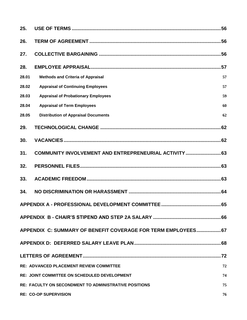| 25.   |                                                               |    |
|-------|---------------------------------------------------------------|----|
| 26.   |                                                               |    |
| 27.   |                                                               |    |
| 28.   |                                                               |    |
| 28.01 | <b>Methods and Criteria of Appraisal</b>                      | 57 |
| 28.02 | <b>Appraisal of Continuing Employees</b>                      | 57 |
| 28.03 | <b>Appraisal of Probationary Employees</b>                    | 59 |
| 28.04 | <b>Appraisal of Term Employees</b>                            | 60 |
| 28.05 | <b>Distribution of Appraisal Documents</b>                    | 62 |
| 29.   |                                                               |    |
| 30.   |                                                               |    |
| 31.   | COMMUNITY INVOLVEMENT AND ENTREPRENEURIAL ACTIVITY  63        |    |
| 32.   |                                                               |    |
| 33.   |                                                               |    |
| 34.   |                                                               |    |
|       |                                                               |    |
|       |                                                               |    |
|       | APPENDIX C: SUMMARY OF BENEFIT COVERAGE FOR TERM EMPLOYEES 67 |    |
|       |                                                               |    |
|       |                                                               |    |
|       | <b>RE: ADVANCED PLACEMENT REVIEW COMMITTEE</b>                | 72 |
|       | <b>RE: JOINT COMMITTEE ON SCHEDULED DEVELOPMENT</b>           | 74 |
|       | <b>RE: FACULTY ON SECONDMENT TO ADMINISTRATIVE POSITIONS</b>  | 75 |
|       | <b>RE: CO-OP SUPERVISION</b>                                  | 76 |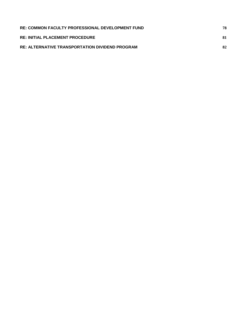| <b>RE: COMMON FACULTY PROFESSIONAL DEVELOPMENT FUND</b> | 78 |
|---------------------------------------------------------|----|
| <b>RE: INITIAL PLACEMENT PROCEDURE</b>                  | 81 |
| <b>RE: ALTERNATIVE TRANSPORTATION DIVIDEND PROGRAM</b>  | 82 |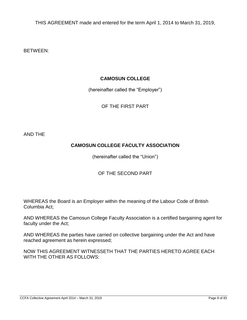THIS AGREEMENT made and entered for the term April 1, 2014 to March 31, 2019,

BETWEEN:

#### **CAMOSUN COLLEGE**

(hereinafter called the "Employer")

OF THE FIRST PART

AND THE

# **CAMOSUN COLLEGE FACULTY ASSOCIATION**

(hereinafter called the "Union")

#### OF THE SECOND PART

WHEREAS the Board is an Employer within the meaning of the Labour Code of British Columbia Act;

AND WHEREAS the Camosun College Faculty Association is a certified bargaining agent for faculty under the Act;

AND WHEREAS the parties have carried on collective bargaining under the Act and have reached agreement as herein expressed;

NOW THIS AGREEMENT WITNESSETH THAT THE PARTIES HERETO AGREE EACH WITH THE OTHER AS FOLLOWS: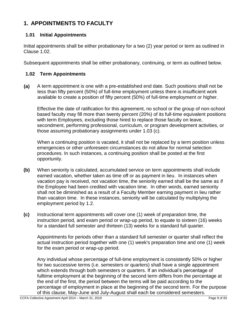# <span id="page-8-0"></span>**1. APPOINTMENTS TO FACULTY**

#### <span id="page-8-1"></span>**1.01 Initial Appointments**

Initial appointments shall be either probationary for a two (2) year period or term as outlined in Clause 1.02.

Subsequent appointments shall be either probationary, continuing, or term as outlined below.

#### <span id="page-8-2"></span>**1.02 Term Appointments**

**(a)** A term appointment is one with a pre-established end date. Such positions shall not be less than fifty percent (50%) of full-time employment unless there is insufficient work available to create a position of fifty percent (50%) of full-time employment or higher.

Effective the date of ratification for this agreement, no school or the group of non-school based faculty may fill more than twenty percent (20%) of its full-time equivalent positions with term Employees, excluding those hired to replace those faculty on leave, secondment, performing professional, curriculum, or program development activities, or those assuming probationary assignments under 1.03 (c).

When a continuing position is vacated, it shall not be replaced by a term position unless emergencies or other unforeseen circumstances do not allow for normal selection procedures. In such instances, a continuing position shall be posted at the first opportunity.

- **(b)** When seniority is calculated, accumulated service on term appointments shall include earned vacation, whether taken as time off or as payment in lieu. In instances when vacation pay is received, not vacation time, the seniority earned shall be the same as if the Employee had been credited with vacation time. In other words, earned seniority shall not be diminished as a result of a Faculty Member earning payment in lieu rather than vacation time. In these instances, seniority will be calculated by multiplying the employment period by 1.2.
- **(c)** Instructional term appointments will cover one (1) week of preparation time, the instruction period, and exam period or wrap-up period, to equate to sixteen (16) weeks for a standard full semester and thirteen (13) weeks for a standard full quarter.

Appointments for periods other than a standard full semester or quarter shall reflect the actual instruction period together with one (1) week's preparation time and one (1) week for the exam period or wrap-up period.

Any individual whose percentage of full-time employment is consistently 50% or higher for two successive terms (i.e. semesters or quarters) shall have a single appointment which extends through both semesters or quarters. If an individual's percentage of fulltime employment at the beginning of the second term differs from the percentage at the end of the first, the period between the terms will be paid according to the percentage of employment in place at the beginning of the second term. For the purpose of this clause, May-June and July-August shall each be considered semesters.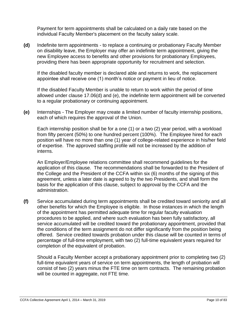Payment for term appointments shall be calculated on a daily rate based on the individual Faculty Member's placement on the faculty salary scale.

**(d)** Indefinite term appointments - to replace a continuing or probationary Faculty Member on disability leave, the Employer may offer an indefinite term appointment, giving the new Employee access to benefits and other provisions for probationary Employees, providing there has been appropriate opportunity for recruitment and selection.

If the disabled faculty member is declared able and returns to work, the replacement appointee shall receive one (1) month's notice or payment in lieu of notice.

If the disabled Faculty Member is unable to return to work within the period of time allowed under clause 17.06(d) and (e), the indefinite term appointment will be converted to a regular probationary or continuing appointment.

**(e)** Internships - The Employer may create a limited number of faculty internship positions, each of which requires the approval of the Union.

Each internship position shall be for a one (1) or a two (2) year period, with a workload from fifty percent (50%) to one hundred percent (100%). The Employee hired for each position will have no more than one (1) year of college-related experience in his/her field of expertise. The approved staffing profile will not be increased by the addition of interns.

An Employer/Employee relations committee shall recommend guidelines for the application of this clause. The recommendations shall be forwarded to the President of the College and the President of the CCFA within six (6) months of the signing of this agreement, unless a later date is agreed to by the two Presidents, and shall form the basis for the application of this clause, subject to approval by the CCFA and the administration.

**(f)** Service accumulated during term appointments shall be credited toward seniority and all other benefits for which the Employee is eligible. In those instances in which the length of the appointment has permitted adequate time for regular faculty evaluation procedures to be applied, and where such evaluation has been fully satisfactory, all service accumulated will be credited toward the probationary appointment, provided that the conditions of the term assignment do not differ significantly from the position being offered. Service credited towards probation under this clause will be counted in terms of percentage of full-time employment, with two (2) full-time equivalent years required for completion of the equivalent of probation.

Should a Faculty Member accept a probationary appointment prior to completing two (2) full-time equivalent years of service on term appointments, the length of probation will consist of two (2) years minus the FTE time on term contracts. The remaining probation will be counted in aggregate, not FTE time.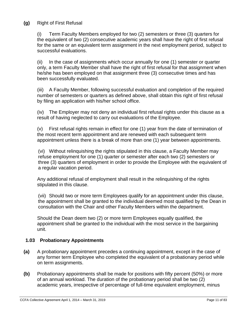#### **(g)** Right of First Refusal

(i) Term Faculty Members employed for two (2) semesters or three (3) quarters for the equivalent of two (2) consecutive academic years shall have the right of first refusal for the same or an equivalent term assignment in the next employment period, subject to successful evaluations.

(ii) In the case of assignments which occur annually for one (1) semester or quarter only, a term Faculty Member shall have the right of first refusal for that assignment when he/she has been employed on that assignment three (3) consecutive times and has been successfully evaluated.

(iii) A Faculty Member, following successful evaluation and completion of the required number of semesters or quarters as defined above, shall obtain this right of first refusal by filing an application with his/her school office.

(iv) The Employer may not deny an individual first refusal rights under this clause as a result of having neglected to carry out evaluations of the Employee.

(v) First refusal rights remain in effect for one (1) year from the date of termination of the most recent term appointment and are renewed with each subsequent term appointment unless there is a break of more than one (1) year between appointments.

(vi) Without relinquishing the rights stipulated in this clause, a Faculty Member may refuse employment for one (1) quarter or semester after each two (2) semesters or three (3) quarters of employment in order to provide the Employee with the equivalent of a regular vacation period.

Any additional refusal of employment shall result in the relinquishing of the rights stipulated in this clause.

(vii) Should two or more term Employees qualify for an appointment under this clause, the appointment shall be granted to the individual deemed most qualified by the Dean in consultation with the Chair and other Faculty Members within the department.

Should the Dean deem two (2) or more term Employees equally qualified, the appointment shall be granted to the individual with the most service in the bargaining unit.

#### <span id="page-10-0"></span>**1.03 Probationary Appointments**

- **(a)** A probationary appointment precedes a continuing appointment, except in the case of any former term Employee who completed the equivalent of a probationary period while on term assignments.
- **(b)** Probationary appointments shall be made for positions with fifty percent (50%) or more of an annual workload. The duration of the probationary period shall be two (2) academic years, irrespective of percentage of full-time equivalent employment, minus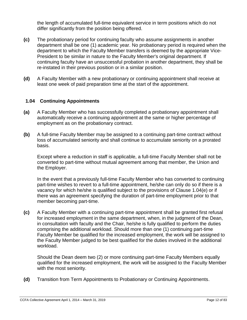the length of accumulated full-time equivalent service in term positions which do not differ significantly from the position being offered.

- **(c)** The probationary period for continuing faculty who assume assignments in another department shall be one (1) academic year. No probationary period is required when the department to which the Faculty Member transfers is deemed by the appropriate Vice-President to be similar in nature to the Faculty Member's original department. If continuing faculty have an unsuccessful probation in another department, they shall be re-instated in their previous position or in a similar position.
- **(d)** A Faculty Member with a new probationary or continuing appointment shall receive at least one week of paid preparation time at the start of the appointment.

#### <span id="page-11-0"></span>**1.04 Continuing Appointments**

- **(a)** A Faculty Member who has successfully completed a probationary appointment shall automatically receive a continuing appointment at the same or higher percentage of employment as on the probationary contract.
- **(b)** A full-time Faculty Member may be assigned to a continuing part-time contract without loss of accumulated seniority and shall continue to accumulate seniority on a prorated basis.

Except where a reduction in staff is applicable, a full-time Faculty Member shall not be converted to part-time without mutual agreement among that member, the Union and the Employer.

In the event that a previously full-time Faculty Member who has converted to continuing part-time wishes to revert to a full-time appointment, he/she can only do so if there is a vacancy for which he/she is qualified subject to the provisions of Clause 1.04(e) or if there was an agreement specifying the duration of part-time employment prior to that member becoming part-time.

**(c)** A Faculty Member with a continuing part-time appointment shall be granted first refusal for increased employment in the same department, when, in the judgment of the Dean, in consultation with faculty and the Chair, he/she is fully qualified to perform the duties comprising the additional workload. Should more than one (1) continuing part-time Faculty Member be qualified for the increased employment, the work will be assigned to the Faculty Member judged to be best qualified for the duties involved in the additional workload.

Should the Dean deem two (2) or more continuing part-time Faculty Members equally qualified for the increased employment, the work will be assigned to the Faculty Member with the most seniority.

**(d)** Transition from Term Appointments to Probationary or Continuing Appointments.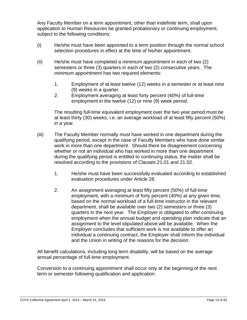Any Faculty Member on a term appointment, other than indefinite term, shall upon application to Human Resources be granted probationary or continuing employment, subject to the following conditions:

- (i) He/she must have been appointed to a term position through the normal school selection procedures in effect at the time of his/her appointment.
- (ii) He/she must have completed a *minimum appointment* in each of two (2) semesters or three (3) quarters in each of two (2) consecutive years. The *minimum appointment* has two required elements:
	- 1. Employment of at least twelve (12) weeks in a semester or at least nine (9) weeks in a quarter.
	- 2. Employment averaging at least forty percent (40%) of full-time employment in the twelve (12) or nine (9) week period.

The resulting full-time equivalent employment over the two year period must be at least thirty (30) weeks, i.e. an average workload of at least fifty percent (50%) in a year.

- (iii) The Faculty Member normally must have worked in one department during the qualifying period, except in the case of Faculty Members who have done similar work in more than one department. Should there be disagreement concerning whether or not an individual who has worked in more than one department during the qualifying period is entitled to continuing status, the matter shall be resolved according to the provisions of Clauses 21.01 and 21.02.
	- 1. He/she must have been successfully evaluated according to established evaluation procedures under Article 28.
	- 2. An assignment averaging at least fifty percent (50%) of full-time employment, with a minimum of forty percent (40%) at any given time, based on the normal workload of a full-time instructor in the relevant department, shall be available over two (2) semesters or three (3) quarters in the next year. The Employer is obligated to offer continuing employment when the annual budget and operating plan indicate that an assignment to the level stipulated above will be available. When the Employer concludes that sufficient work is not available to offer an individual a continuing contract, the Employer shall inform the individual and the Union in writing of the reasons for the decision.

All benefit calculations, including long term disability, will be based on the average annual percentage of full-time employment.

Conversion to a continuing appointment shall occur only at the beginning of the next term or semester following qualification and application.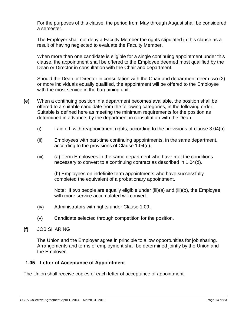For the purposes of this clause, the period from May through August shall be considered a semester.

The Employer shall not deny a Faculty Member the rights stipulated in this clause as a result of having neglected to evaluate the Faculty Member.

When more than one candidate is eligible for a single continuing appointment under this clause, the appointment shall be offered to the Employee deemed most qualified by the Dean or Director in consultation with the Chair and department.

Should the Dean or Director in consultation with the Chair and department deem two (2) or more individuals equally qualified, the appointment will be offered to the Employee with the most service in the bargaining unit.

- **(e)** When a continuing position in a department becomes available, the position shall be offered to a suitable candidate from the following categories, in the following order. Suitable is defined here as meeting the minimum requirements for the position as determined in advance, by the department in consultation with the Dean.
	- (i) Laid off with reappointment rights, according to the provisions of clause 3.04(b).
	- (ii) Employees with part-time continuing appointments, in the same department, according to the provisions of Clause 1.04(c).
	- (iii) (a) Term Employees in the same department who have met the conditions necessary to convert to a continuing contract as described in 1.04(d).

(b) Employees on indefinite term appointments who have successfully completed the equivalent of a probationary appointment.

Note: If two people are equally eligible under (iii)(a) and (iii)(b), the Employee with more service accumulated will convert.

- (iv) Administrators with rights under Clause 1.09.
- (v) Candidate selected through competition for the position.

#### **(f)** JOB SHARING

The Union and the Employer agree in principle to allow opportunities for job sharing. Arrangements and terms of employment shall be determined jointly by the Union and the Employer.

#### <span id="page-13-0"></span>**1.05 Letter of Acceptance of Appointment**

The Union shall receive copies of each letter of acceptance of appointment.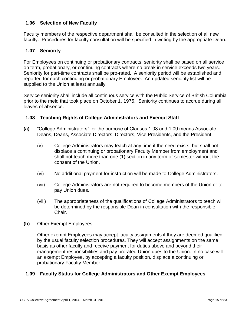#### <span id="page-14-0"></span>**1.06 Selection of New Faculty**

Faculty members of the respective department shall be consulted in the selection of all new faculty. Procedures for faculty consultation will be specified in writing by the appropriate Dean.

#### <span id="page-14-1"></span>**1.07 Seniority**

For Employees on continuing or probationary contracts, seniority shall be based on all service on term, probationary, or continuing contracts where no break in service exceeds two years. Seniority for part-time contracts shall be pro-rated. A seniority period will be established and reported for each continuing or probationary Employee. An updated seniority list will be supplied to the Union at least annually.

Service seniority shall include all continuous service with the Public Service of British Columbia prior to the meld that took place on October 1, 1975. Seniority continues to accrue during all leaves of absence.

#### <span id="page-14-2"></span>**1.08 Teaching Rights of College Administrators and Exempt Staff**

- **(a)** "College Administrators" for the purpose of Clauses 1.08 and 1.09 means Associate Deans, Deans, Associate Directors, Directors, Vice Presidents, and the President.
	- (v) College Administrators may teach at any time if the need exists, but shall not displace a continuing or probationary Faculty Member from employment and shall not teach more than one (1) section in any term or semester without the consent of the Union.
	- (vi) No additional payment for instruction will be made to College Administrators.
	- (vii) College Administrators are not required to become members of the Union or to pay Union dues.
	- (viii) The appropriateness of the qualifications of College Administrators to teach will be determined by the responsible Dean in consultation with the responsible Chair.
- **(b)** Other Exempt Employees

Other exempt Employees may accept faculty assignments if they are deemed qualified by the usual faculty selection procedures. They will accept assignments on the same basis as other faculty and receive payment for duties above and beyond their management responsibilities and pay prorated Union dues to the Union. In no case will an exempt Employee, by accepting a faculty position, displace a continuing or probationary Faculty Member.

#### <span id="page-14-3"></span>**1.09 Faculty Status for College Administrators and Other Exempt Employees**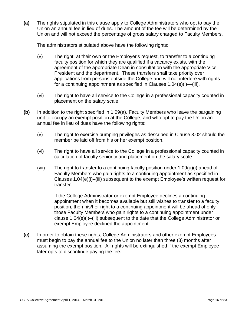**(a)** The rights stipulated in this clause apply to College Administrators who opt to pay the Union an annual fee in lieu of dues. The amount of the fee will be determined by the Union and will not exceed the percentage of gross salary charged to Faculty Members.

The administrators stipulated above have the following rights:

- (v) The right, at their own or the Employer's request, to transfer to a continuing faculty position for which they are qualified if a vacancy exists, with the agreement of the appropriate Dean in consultation with the appropriate Vice-President and the department. These transfers shall take priority over applications from persons outside the College and will not interfere with rights for a continuing appointment as specified in Clauses 1.04(e)(i)—(iii).
- (vi) The right to have all service to the College in a professional capacity counted in placement on the salary scale.
- **(b)** In addition to the right specified in 1.09(a), Faculty Members who leave the bargaining unit to occupy an exempt position at the College, and who opt to pay the Union an annual fee in lieu of dues have the following rights:
	- (v) The right to exercise bumping privileges as described in Clause 3.02 should the member be laid off from his or her exempt position.
	- (vi) The right to have all service to the College in a professional capacity counted in calculation of faculty seniority and placement on the salary scale.
	- (vii) The right to transfer to a continuing faculty position under 1.09(a)(i) ahead of Faculty Members who gain rights to a continuing appointment as specified in Clauses 1.04(e)(i)–(iii) subsequent to the exempt Employee's written request for transfer.

If the College Administrator or exempt Employee declines a continuing appointment when it becomes available but still wishes to transfer to a faculty position, then his/her right to a continuing appointment will be ahead of only those Faculty Members who gain rights to a continuing appointment under clause 1.04(e)(i)–(iii) subsequent to the date that the College Administrator or exempt Employee declined the appointment.

**(c)** In order to obtain these rights, College Administrators and other exempt Employees must begin to pay the annual fee to the Union no later than three (3) months after assuming the exempt position. All rights will be extinguished if the exempt Employee later opts to discontinue paying the fee.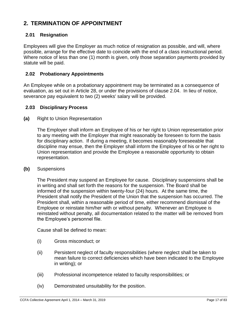# <span id="page-16-0"></span>**2. TERMINATION OF APPOINTMENT**

#### <span id="page-16-1"></span>**2.01 Resignation**

Employees will give the Employer as much notice of resignation as possible, and will, where possible, arrange for the effective date to coincide with the end of a class instructional period. Where notice of less than one (1) month is given, only those separation payments provided by statute will be paid.

#### <span id="page-16-2"></span>**2.02 Probationary Appointments**

An Employee while on a probationary appointment may be terminated as a consequence of evaluation, as set out in Article 28, or under the provisions of clause 2.04. In lieu of notice, severance pay equivalent to two (2) weeks' salary will be provided.

#### <span id="page-16-3"></span>**2.03 Disciplinary Process**

**(a)** Right to Union Representation

The Employer shall inform an Employee of his or her right to Union representation prior to any meeting with the Employer that might reasonably be foreseen to form the basis for disciplinary action. If during a meeting, it becomes reasonably foreseeable that discipline may ensue, then the Employer shall inform the Employee of his or her right to Union representation and provide the Employee a reasonable opportunity to obtain representation.

**(b)** Suspensions

The President may suspend an Employee for cause. Disciplinary suspensions shall be in writing and shall set forth the reasons for the suspension. The Board shall be informed of the suspension within twenty-four (24) hours. At the same time, the President shall notify the President of the Union that the suspension has occurred. The President shall, within a reasonable period of time, either recommend dismissal of the Employee or reinstate him/her with or without penalty. Whenever an Employee is reinstated without penalty, all documentation related to the matter will be removed from the Employee's personnel file.

Cause shall be defined to mean:

- (i) Gross misconduct; or
- (ii) Persistent neglect of faculty responsibilities (where neglect shall be taken to mean failure to correct deficiencies which have been indicated to the Employee in writing); or
- (iii) Professional incompetence related to faculty responsibilities; or
- (iv) Demonstrated unsuitability for the position.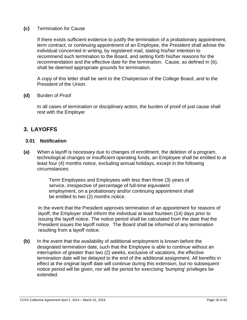#### **(c)** Termination for Cause

If there exists sufficient evidence to justify the termination of a probationary appointment, term contract, or continuing appointment of an Employee, the President shall advise the individual concerned in writing, by registered mail, stating his/her intention to recommend such termination to the Board, and setting forth his/her reasons for the recommendation and the effective date for the termination. Cause, as defined in (b), shall be deemed appropriate grounds for termination.

A copy of this letter shall be sent to the Chairperson of the College Board, and to the President of the Union.

#### **(d)** Burden of Proof

In all cases of termination or disciplinary action, the burden of proof of just cause shall rest with the Employer

# <span id="page-17-0"></span>**3. LAYOFFS**

#### <span id="page-17-1"></span>**3.01 Notification**

**(a)** When a layoff is necessary due to changes of enrollment, the deletion of a program, technological changes or insufficient operating funds, an Employee shall be entitled to at least four (4) months notice, excluding annual holidays, except in the following circumstances:

> Term Employees and Employees with less than three (3) years of service, irrespective of percentage of full-time equivalent employment, on a probationary and/or continuing appointment shall be entitled to two (2) months notice.

In the event that the President approves termination of an appointment for reasons of layoff, the Employer shall inform the individual at least fourteen (14) days prior to issuing the layoff notice. The notice period shall be calculated from the date that the President issues the layoff notice. The Board shall be informed of any termination resulting from a layoff notice.

**(b)** In the event that the availability of additional employment is known before the designated termination date, such that the Employee is able to continue without an interruption of greater than two (2) weeks, exclusive of vacations, the effective termination date will be delayed to the end of the additional assignment. All benefits in effect at the original layoff date will continue during this extension, but no subsequent notice period will be given, nor will the period for exercising 'bumping' privileges be extended.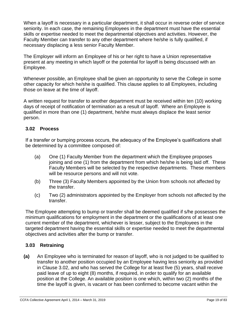When a layoff is necessary in a particular department, it shall occur in reverse order of service seniority. In each case, the remaining Employees in the department must have the essential skills or expertise needed to meet the departmental objectives and activities. However, the Faculty Member can transfer to any other department where he/she is fully qualified, if necessary displacing a less senior Faculty Member.

The Employer will inform an Employee of his or her right to have a Union representative present at any meeting in which layoff or the potential for layoff is being discussed with an Employee.

Whenever possible, an Employee shall be given an opportunity to serve the College in some other capacity for which he/she is qualified. This clause applies to all Employees, including those on leave at the time of layoff.

A written request for transfer to another department must be received within ten (10) working days of receipt of notification of termination as a result of layoff. Where an Employee is qualified in more than one (1) department, he/she must always displace the least senior person.

#### <span id="page-18-0"></span>**3.02 Process**

If a transfer or bumping process occurs, the adequacy of the Employee's qualifications shall be determined by a committee composed of:

- (a) One (1) Faculty Member from the department which the Employee proposes joining and one (1) from the department from which he/she is being laid off. These Faculty Members will be selected by the respective departments. These members will be resource persons and will not vote.
- (b) Three (3) Faculty Members appointed by the Union from schools not affected by the transfer.
- (c) Two (2) administrators appointed by the Employer from schools not affected by the transfer.

The Employee attempting to bump or transfer shall be deemed qualified if s/he possesses the minimum qualifications for employment in the department or the qualifications of at least one current member of the department, whichever is lesser, subject to the Employees in the targeted department having the essential skills or expertise needed to meet the departmental objectives and activities after the bump or transfer.

#### <span id="page-18-1"></span>**3.03 Retraining**

**(a)** An Employee who is terminated for reason of layoff, who is not judged to be qualified to transfer to another position occupied by an Employee having less seniority as provided in Clause 3.02, and who has served the College for at least five (5) years, shall receive paid leave of up to eight (8) months, if required, in order to qualify for an available position at the College. An available position is one which, within two (2) months of the time the layoff is given, is vacant or has been confirmed to become vacant within the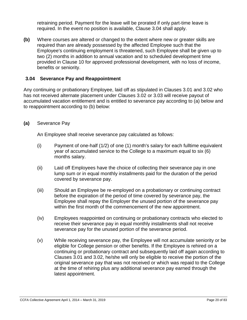retraining period. Payment for the leave will be prorated if only part-time leave is required. In the event no position is available, Clause 3.04 shall apply.

**(b)** Where courses are altered or changed to the extent where new or greater skills are required than are already possessed by the affected Employee such that the Employee's continuing employment is threatened, such Employee shall be given up to two (2) months in addition to annual vacation and to scheduled development time provided in Clause 10 for approved professional development, with no loss of income, benefits or seniority.

#### <span id="page-19-0"></span>**3.04 Severance Pay and Reappointment**

Any continuing or probationary Employee, laid off as stipulated in Clauses 3.01 and 3.02 who has not received alternate placement under Clauses 3.02 or 3.03 will receive payout of accumulated vacation entitlement and is entitled to severance pay according to (a) below and to reappointment according to (b) below:

#### **(a)** Severance Pay

An Employee shall receive severance pay calculated as follows:

- (i) Payment of one-half (1/2) of one (1) month's salary for each fulltime equivalent year of accumulated service to the College to a maximum equal to six (6) months salary.
- (ii) Laid off Employees have the choice of collecting their severance pay in one lump sum or in equal monthly installments paid for the duration of the period covered by severance pay.
- (iii) Should an Employee be re-employed on a probationary or continuing contract before the expiration of the period of time covered by severance pay, the Employee shall repay the Employer the unused portion of the severance pay within the first month of the commencement of the new appointment.
- (iv) Employees reappointed on continuing or probationary contracts who elected to receive their severance pay in equal monthly installments shall not receive severance pay for the unused portion of the severance period.
- (v) While receiving severance pay, the Employee will not accumulate seniority or be eligible for College pension or other benefits. If the Employee is rehired on a continuing or probationary contract and subsequently laid off again according to Clauses 3.01 and 3.02, he/she will only be eligible to receive the portion of the original severance pay that was not received or which was repaid to the College at the time of rehiring plus any additional severance pay earned through the latest appointment.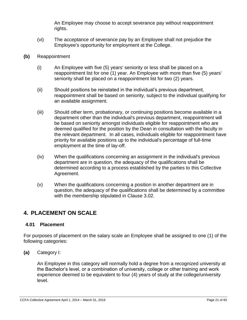An Employee may choose to accept severance pay without reappointment rights.

- (vi) The acceptance of severance pay by an Employee shall not prejudice the Employee's opportunity for employment at the College.
- **(b)** Reappointment
	- (i) An Employee with five (5) years' seniority or less shall be placed on a reappointment list for one (1) year. An Employee with more than five (5) years' seniority shall be placed on a reappointment list for two (2) years.
	- (ii) Should positions be reinstated in the individual's previous department, reappointment shall be based on seniority, subject to the individual qualifying for an available assignment.
	- (iii) Should other term, probationary, or continuing positions become available in a department other than the individual's previous department, reappointment will be based on seniority amongst individuals eligible for reappointment who are deemed qualified for the position by the Dean in consultation with the faculty in the relevant department.In all cases, individuals eligible for reappointment have priority for available positions up to the individual's percentage of full-time employment at the time of lay-off.
	- (iv) When the qualifications concerning an assignment in the individual's previous department are in question, the adequacy of the qualifications shall be determined according to a process established by the parties to this Collective Agreement.
	- (v) When the qualifications concerning a position in another department are in question, the adequacy of the qualifications shall be determined by a committee with the membership stipulated in Clause 3.02.

# <span id="page-20-0"></span>**4. PLACEMENT ON SCALE**

#### <span id="page-20-1"></span>**4.01 Placement**

For purposes of placement on the salary scale an Employee shall be assigned to one (1) of the following categories:

**(a)** Category I:

An Employee in this category will normally hold a degree from a recognized university at the Bachelor's level, or a combination of university, college or other training and work experience deemed to be equivalent to four (4) years of study at the college/university level.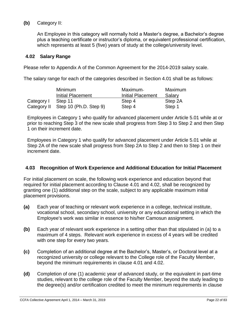#### **(b)** Category II:

An Employee in this category will normally hold a Master's degree, a Bachelor's degree plus a teaching certificate or instructor's diploma, or equivalent professional certification, which represents at least 5 (five) years of study at the college/university level.

#### <span id="page-21-0"></span>**4.02 Salary Range**

Please refer to Appendix A of the Common Agreement for the 2014-2019 salary scale.

The salary range for each of the categories described in Section 4.01 shall be as follows:

|            | <b>Minimum</b>                     | Maximum-                 | Maximum |
|------------|------------------------------------|--------------------------|---------|
|            | <b>Initial Placement</b>           | <b>Initial Placement</b> | Salary  |
| Category I | Step 11                            | Step 4                   | Step 2A |
|            | Category II Step 10 (Ph.D. Step 9) | Step 4                   | Step 1  |

Employees in Category 1 who qualify for advanced placement under Article 5.01 while at or prior to reaching Step 3 of the new scale shall progress from Step 3 to Step 2 and then Step 1 on their increment date.

Employees in Category 1 who qualify for advanced placement under Article 5.01 while at Step 2A of the new scale shall progress from Step 2A to Step 2 and then to Step 1 on their increment date.

#### <span id="page-21-1"></span>**4.03 Recognition of Work Experience and Additional Education for Initial Placement**

For initial placement on scale, the following work experience and education beyond that required for initial placement according to Clause 4.01 and 4.02, shall be recognized by granting one (1) additional step on the scale, subject to any applicable maximum initial placement provisions.

- **(a)** Each year of teaching or relevant work experience in a college, technical institute, vocational school, secondary school, university or any educational setting in which the Employee's work was similar in essence to his/her Camosun assignment.
- **(b)** Each year of relevant work experience in a setting other than that stipulated in (a) to a maximum of 4 steps. Relevant work experience in excess of 4 years will be credited with one step for every two years.
- **(c)** Completion of an additional degree at the Bachelor's, Master's, or Doctoral level at a recognized university or college relevant to the College role of the Faculty Member, beyond the minimum requirements in clause 4.01 and 4.02.
- **(d)** Completion of one (1) academic year of advanced study, or the equivalent in part-time studies, relevant to the college role of the Faculty Member, beyond the study leading to the degree(s) and/or certification credited to meet the minimum requirements in clause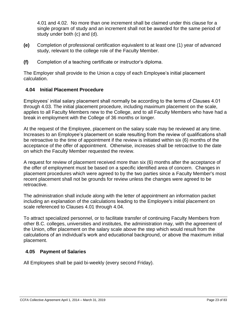4.01 and 4.02. No more than one increment shall be claimed under this clause for a single program of study and an increment shall not be awarded for the same period of study under both (c) and (d).

- **(e)** Completion of professional certification equivalent to at least one (1) year of advanced study, relevant to the college role of the Faculty Member.
- **(f)** Completion of a teaching certificate or instructor's diploma.

The Employer shall provide to the Union a copy of each Employee's initial placement calculation.

#### <span id="page-22-0"></span>**4.04 Initial Placement Procedure**

Employees' initial salary placement shall normally be according to the terms of Clauses 4.01 through 4.03. The initial placement procedure, including maximum placement on the scale, applies to all Faculty Members new to the College, and to all Faculty Members who have had a break in employment with the College of 36 months or longer.

At the request of the Employee, placement on the salary scale may be reviewed at any time. Increases to an Employee's placement on scale resulting from the review of qualifications shall be retroactive to the time of appointment if the review is initiated within six (6) months of the acceptance of the offer of appointment. Otherwise, increases shall be retroactive to the date on which the Faculty Member requested the review.

A request for review of placement received more than six (6) months after the acceptance of the offer of employment must be based on a specific identified area of concern. Changes in placement procedures which were agreed to by the two parties since a Faculty Member's most recent placement shall not be grounds for review unless the changes were agreed to be retroactive.

The administration shall include along with the letter of appointment an information packet including an explanation of the calculations leading to the Employee's initial placement on scale referenced to Clauses 4.01 through 4.04.

To attract specialized personnel, or to facilitate transfer of continuing Faculty Members from other B.C. colleges, universities and institutes, the administration may, with the agreement of the Union, offer placement on the salary scale above the step which would result from the calculations of an individual's work and educational background, or above the maximum initial placement.

#### <span id="page-22-1"></span>**4.05 Payment of Salaries**

All Employees shall be paid bi-weekly (every second Friday).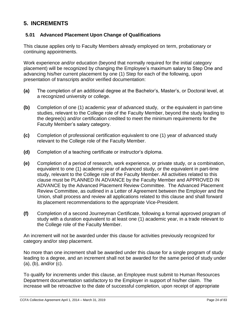## <span id="page-23-0"></span>**5. INCREMENTS**

#### <span id="page-23-1"></span>**5.01 Advanced Placement Upon Change of Qualifications**

This clause applies only to Faculty Members already employed on term, probationary or continuing appointments.

Work experience and/or education (beyond that normally required for the initial category placement) will be recognized by changing the Employee's maximum salary to Step One and advancing his/her current placement by one (1) Step for each of the following, upon presentation of transcripts and/or verified documentation:

- **(a)** The completion of an additional degree at the Bachelor's, Master's, or Doctoral level, at a recognized university or college.
- **(b)** Completion of one (1) academic year of advanced study, or the equivalent in part-time studies, relevant to the College role of the Faculty Member, beyond the study leading to the degree(s) and/or certification credited to meet the minimum requirements for the Faculty Member's salary category.
- **(c)** Completion of professional certification equivalent to one (1) year of advanced study relevant to the College role of the Faculty Member.
- **(d)** Completion of a teaching certificate or instructor's diploma.
- **(e)** Completion of a period of research, work experience, or private study, or a combination, equivalent to one (1) academic year of advanced study, or the equivalent in part-time study, relevant to the College role of the Faculty Member. All activities related to this clause must be PLANNED IN ADVANCE by the Faculty Member and APPROVED IN ADVANCE by the Advanced Placement Review Committee. The Advanced Placement Review Committee, as outlined in a Letter of Agreement between the Employer and the Union, shall process and review all applications related to this clause and shall forward its placement recommendations to the appropriate Vice-President.
- **(f)** Completion of a second Journeyman Certificate, following a formal approved program of study with a duration equivalent to at least one (1) academic year, in a trade relevant to the College role of the Faculty Member.

An increment will not be awarded under this clause for activities previously recognized for category and/or step placement.

No more than one increment shall be awarded under this clause for a single program of study leading to a degree, and an increment shall not be awarded for the same period of study under (a), (b), and/or (c).

To qualify for increments under this clause, an Employee must submit to Human Resources Department documentation satisfactory to the Employer in support of his/her claim. The increase will be retroactive to the date of successful completion, upon receipt of appropriate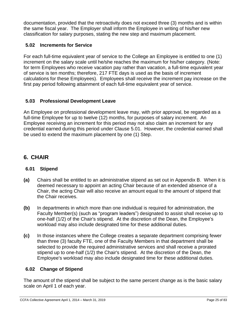documentation, provided that the retroactivity does not exceed three (3) months and is within the same fiscal year. The Employer shall inform the Employee in writing of his/her new classification for salary purposes, stating the new step and maximum placement.

#### <span id="page-24-0"></span>**5.02 Increments for Service**

For each full-time equivalent year of service to the College an Employee is entitled to one (1) increment on the salary scale until he/she reaches the maximum for his/her category. (Note: for term Employees who receive vacation pay rather than vacation, a full-time equivalent year of service is ten months; therefore, 217 FTE days is used as the basis of increment calculations for these Employees). Employees shall receive the increment pay increase on the first pay period following attainment of each full-time equivalent year of service.

#### <span id="page-24-1"></span>**5.03 Professional Development Leave**

An Employee on professional development leave may, with prior approval, be regarded as a full-time Employee for up to twelve (12) months, for purposes of salary increment. An Employee receiving an increment for this period may not also claim an increment for any credential earned during this period under Clause 5.01. However, the credential earned shall be used to extend the maximum placement by one (1) Step.

# <span id="page-24-2"></span>**6. CHAIR**

#### <span id="page-24-3"></span>**6.01 Stipend**

- **(a)** Chairs shall be entitled to an administrative stipend as set out in Appendix B. When it is deemed necessary to appoint an acting Chair because of an extended absence of a Chair, the acting Chair will also receive an amount equal to the amount of stipend that the Chair receives.
- **(b)** In departments in which more than one individual is required for administration, the Faculty Member(s) (such as "program leaders") designated to assist shall receive up to one-half (1/2) of the Chair's stipend. At the discretion of the Dean, the Employee's workload may also include designated time for these additional duties.
- **(c)** In those instances where the College creates a separate department comprising fewer than three (3) faculty FTE, one of the Faculty Members in that department shall be selected to provide the required administrative services and shall receive a prorated stipend up to one-half (1/2) the Chair's stipend. At the discretion of the Dean, the Employee's workload may also include designated time for these additional duties.

#### <span id="page-24-4"></span>**6.02 Change of Stipend**

The amount of the stipend shall be subject to the same percent change as is the basic salary scale on April 1 of each year.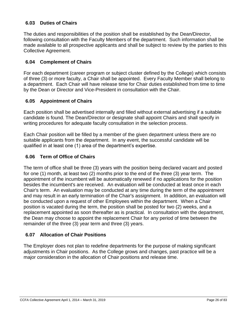#### <span id="page-25-0"></span>**6.03 Duties of Chairs**

The duties and responsibilities of the position shall be established by the Dean/Director, following consultation with the Faculty Members of the department. Such information shall be made available to all prospective applicants and shall be subject to review by the parties to this Collective Agreement.

#### <span id="page-25-1"></span>**6.04 Complement of Chairs**

For each department (career program or subject cluster defined by the College) which consists of three (3) or more faculty, a Chair shall be appointed. Every Faculty Member shall belong to a department. Each Chair will have release time for Chair duties established from time to time by the Dean or Director and Vice-President in consultation with the Chair.

#### <span id="page-25-2"></span>**6.05 Appointment of Chairs**

Each position shall be advertised internally and filled without external advertising if a suitable candidate is found. The Dean/Director or designate shall appoint Chairs and shall specify in writing procedures for adequate faculty consultation in the selection process.

Each Chair position will be filled by a member of the given department unless there are no suitable applicants from the department. In any event, the successful candidate will be qualified in at least one (1) area of the department's expertise.

#### <span id="page-25-3"></span>**6.06 Term of Office of Chairs**

The term of office shall be three (3) years with the position being declared vacant and posted for one (1) month, at least two (2) months prior to the end of the three (3) year term. The appointment of the incumbent will be automatically renewed if no applications for the position besides the incumbent's are received. An evaluation will be conducted at least once in each Chair's term. An evaluation may be conducted at any time during the term of the appointment and may result in an early termination of the Chair's assignment. In addition, an evaluation will be conducted upon a request of other Employees within the department. When a Chair position is vacated during the term, the position shall be posted for two (2) weeks, and a replacement appointed as soon thereafter as is practical. In consultation with the department, the Dean may choose to appoint the replacement Chair for any period of time between the remainder of the three (3) year term and three (3) years.

#### <span id="page-25-4"></span>**6.07 Allocation of Chair Positions**

The Employer does not plan to redefine departments for the purpose of making significant adjustments in Chair positions. As the College grows and changes, past practice will be a major consideration in the allocation of Chair positions and release time.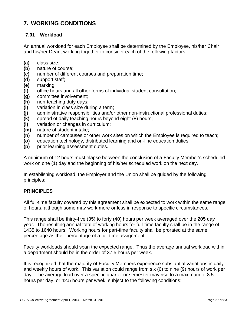# <span id="page-26-0"></span>**7. WORKING CONDITIONS**

#### <span id="page-26-1"></span>**7.01 Workload**

An annual workload for each Employee shall be determined by the Employee, his/her Chair and his/her Dean, working together to consider each of the following factors:

- **(a)** class size;
- **(b)** nature of course;
- **(c)** number of different courses and preparation time;
- **(d)** support staff;
- **(e)** marking;
- **(f)** office hours and all other forms of individual student consultation;
- **(g)** committee involvement;
- **(h)** non-teaching duty days;
- **(i)** variation in class size during a term;
- **(j)** administrative responsibilities and/or other non-instructional professional duties;
- **(k)** spread of daily teaching hours beyond eight (8) hours;
- **(l)** variation or changes in curriculum;
- **(m)** nature of student intake;
- **(n)** number of campuses or other work sites on which the Employee is required to teach;
- **(o)** education technology, distributed learning and on-line education duties;
- **(p)** prior learning assessment duties.

A minimum of 12 hours must elapse between the conclusion of a Faculty Member's scheduled work on one (1) day and the beginning of his/her scheduled work on the next day.

In establishing workload, the Employer and the Union shall be guided by the following principles:

#### **PRINCIPLES**

All full-time faculty covered by this agreement shall be expected to work within the same range of hours, although some may work more or less in response to specific circumstances.

This range shall be thirty-five (35) to forty (40) hours per week averaged over the 205 day year. The resulting annual total of working hours for full-time faculty shall be in the range of 1435 to 1640 hours. Working hours for part-time faculty shall be prorated at the same percentage as their percentage of a full-time assignment.

Faculty workloads should span the expected range. Thus the average annual workload within a department should be in the order of 37.5 hours per week.

It is recognized that the majority of Faculty Members experience substantial variations in daily and weekly hours of work. This variation could range from six (6) to nine (9) hours of work per day. The average load over a specific quarter or semester may rise to a maximum of 8.5 hours per day, or 42.5 hours per week, subject to the following conditions: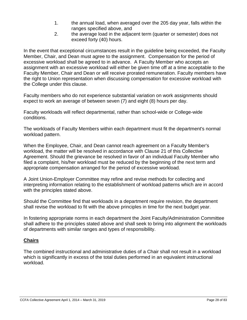- 1. the annual load, when averaged over the 205 day year, falls within the ranges specified above, and
- 2. the average load in the adjacent term (quarter or semester) does not exceed forty (40) hours.

In the event that exceptional circumstances result in the guideline being exceeded, the Faculty Member, Chair, and Dean must agree to the assignment. Compensation for the period of excessive workload shall be agreed to in advance. A Faculty Member who accepts an assignment with an excessive workload will either be given time off at a time acceptable to the Faculty Member, Chair and Dean or will receive prorated remuneration. Faculty members have the right to Union representation when discussing compensation for excessive workload with the College under this clause.

Faculty members who do not experience substantial variation on work assignments should expect to work an average of between seven (7) and eight (8) hours per day.

Faculty workloads will reflect departmental, rather than school-wide or College-wide conditions.

The workloads of Faculty Members within each department must fit the department's normal workload pattern.

When the Employee, Chair, and Dean cannot reach agreement on a Faculty Member's workload, the matter will be resolved in accordance with Clause 21 of this Collective Agreement. Should the grievance be resolved in favor of an individual Faculty Member who filed a complaint, his/her workload must be reduced by the beginning of the next term and appropriate compensation arranged for the period of excessive workload.

A Joint Union-Employer Committee may refine and revise methods for collecting and interpreting information relating to the establishment of workload patterns which are in accord with the principles stated above.

Should the Committee find that workloads in a department require revision, the department shall revise the workload to fit with the above principles in time for the next budget year.

In fostering appropriate norms in each department the Joint Faculty/Administration Committee shall adhere to the principles stated above and shall seek to bring into alignment the workloads of departments with similar ranges and types of responsibility.

#### **Chairs**

The combined instructional and administrative duties of a Chair shall not result in a workload which is significantly in excess of the total duties performed in an equivalent instructional workload.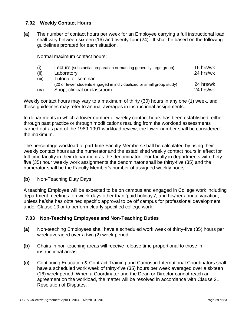#### <span id="page-28-0"></span>**7.02 Weekly Contact Hours**

**(a)** The number of contact hours per week for an Employee carrying a full instructional load shall vary between sixteen (16) and twenty-four (24). It shall be based on the following guidelines prorated for each situation.

Normal maximum contact hours:

| (i)   | Lecture (substantial preparation or marking generally large group)    | 16 hrs/wk |
|-------|-----------------------------------------------------------------------|-----------|
| (ii)  | Laboratory                                                            | 24 hrs/wk |
| (iii) | Tutorial or seminar                                                   |           |
|       | (20 or fewer students engaged in individualized or small group study) | 24 hrs/wk |
| (iv)  | Shop, clinical or classroom                                           | 24 hrs/wk |

Weekly contact hours may vary to a maximum of thirty (30) hours in any one (1) week, and these guidelines may refer to annual averages in instructional assignments.

In departments in which a lower number of weekly contact hours has been established, either through past practice or through modifications resulting from the workload assessments carried out as part of the 1989-1991 workload review, the lower number shall be considered the maximum.

The percentage workload of part-time Faculty Members shall be calculated by using their weekly contact hours as the numerator and the established weekly contact hours in effect for full-time faculty in their department as the denominator. For faculty in departments with thirtyfive (35) hour weekly work assignments the denominator shall be thirty-five (35) and the numerator shall be the Faculty Member's number of assigned weekly hours.

#### **(b)** Non-Teaching Duty Days

A teaching Employee will be expected to be on campus and engaged in College work including department meetings, on week days other than 'paid holidays', and his/her annual vacation, unless he/she has obtained specific approval to be off campus for professional development under Clause 10 or to perform clearly specified college work.

#### <span id="page-28-1"></span>**7.03 Non-Teaching Employees and Non-Teaching Duties**

- **(a)** Non-teaching Employees shall have a scheduled work week of thirty-five (35) hours per week averaged over a two (2) week period.
- **(b)** Chairs in non-teaching areas will receive release time proportional to those in instructional areas.
- **(c)** Continuing Education & Contract Training and Camosun International Coordinators shall have a scheduled work week of thirty-five (35) hours per week averaged over a sixteen (16) week period. When a Coordinator and the Dean or Director cannot reach an agreement on the workload, the matter will be resolved in accordance with Clause 21 Resolution of Disputes.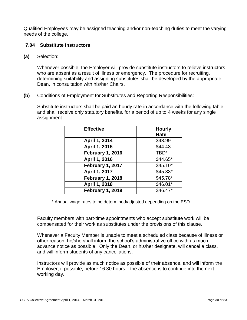Qualified Employees may be assigned teaching and/or non-teaching duties to meet the varying needs of the college.

#### <span id="page-29-0"></span>**7.04 Substitute Instructors**

**(a)** Selection:

Whenever possible, the Employer will provide substitute instructors to relieve instructors who are absent as a result of illness or emergency. The procedure for recruiting, determining suitability and assigning substitutes shall be developed by the appropriate Dean, in consultation with his/her Chairs.

**(b)** Conditions of Employment for Substitutes and Reporting Responsibilities:

Substitute instructors shall be paid an hourly rate in accordance with the following table and shall receive only statutory benefits, for a period of up to 4 weeks for any single assignment.

| <b>Effective</b> | <b>Hourly</b>    |
|------------------|------------------|
|                  | Rate             |
| April 1, 2014    | \$43.99          |
| April 1, 2015    | \$44.43          |
| February 1, 2016 | TBD <sup>*</sup> |
| April 1, 2016    | \$44.65*         |
| February 1, 2017 | $$45.10*$        |
| April 1, 2017    | $$45.33*$        |
| February 1, 2018 | $$45.78*$        |
| April 1, 2018    | \$46.01*         |
| February 1, 2019 | \$46.47*         |

\* Annual wage rates to be determined/adjusted depending on the ESD.

Faculty members with part-time appointments who accept substitute work will be compensated for their work as substitutes under the provisions of this clause.

Whenever a Faculty Member is unable to meet a scheduled class because of illness or other reason, he/she shall inform the school's administrative office with as much advance notice as possible. Only the Dean, or his/her designate, will cancel a class, and will inform students of any cancellations.

Instructors will provide as much notice as possible of their absence, and will inform the Employer, if possible, before 16:30 hours if the absence is to continue into the next working day.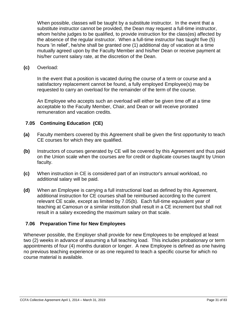When possible, classes will be taught by a substitute instructor. In the event that a substitute instructor cannot be provided, the Dean may request a full-time instructor, whom he/she judges to be qualified, to provide instruction for the class(es) affected by the absence of the regular instructor. When a full-time instructor has taught five (5) hours 'in relief', he/she shall be granted one (1) additional day of vacation at a time mutually agreed upon by the Faculty Member and his/her Dean or receive payment at his/her current salary rate, at the discretion of the Dean.

**(c)** Overload:

In the event that a position is vacated during the course of a term or course and a satisfactory replacement cannot be found, a fully employed Employee(s) may be requested to carry an overload for the remainder of the term of the course.

An Employee who accepts such an overload will either be given time off at a time acceptable to the Faculty Member, Chair, and Dean or will receive prorated remuneration and vacation credits.

#### <span id="page-30-0"></span>**7.05 Continuing Education (CE)**

- **(a)** Faculty members covered by this Agreement shall be given the first opportunity to teach CE courses for which they are qualified.
- **(b)** Instructors of courses generated by CE will be covered by this Agreement and thus paid on the Union scale when the courses are for credit or duplicate courses taught by Union faculty.
- **(c)** When instruction in CE is considered part of an instructor's annual workload, no additional salary will be paid.
- **(d)** When an Employee is carrying a full instructional load as defined by this Agreement, additional instruction for CE courses shall be reimbursed according to the current relevant CE scale, except as limited by 7.05(b). Each full-time equivalent year of teaching at Camosun or a similar institution shall result in a CE increment but shall not result in a salary exceeding the maximum salary on that scale.

#### <span id="page-30-1"></span>**7.06 Preparation Time for New Employees**

Whenever possible, the Employer shall provide for new Employees to be employed at least two (2) weeks in advance of assuming a full teaching load. This includes probationary or term appointments of four (4) months duration or longer. A new Employee is defined as one having no previous teaching experience or as one required to teach a specific course for which no course material is available.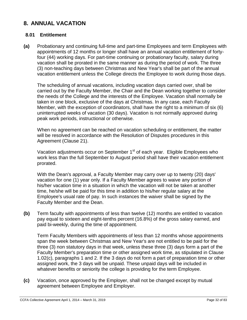## <span id="page-31-0"></span>**8. ANNUAL VACATION**

#### <span id="page-31-1"></span>**8.01 Entitlement**

**(a)** Probationary and continuing full-time and part-time Employees and term Employees with appointments of 12 months or longer shall have an annual vacation entitlement of fortyfour (44) working days. For part-time continuing or probationary faculty, salary during vacation shall be prorated in the same manner as during the period of work. The three (3) non-teaching days between Christmas and New Year's shall be part of the annual vacation entitlement unless the College directs the Employee to work during those days.

The scheduling of annual vacations, including vacation days carried over, shall be carried out by the Faculty Member, the Chair and the Dean working together to consider the needs of the College and the interests of the Employee. Vacation shall normally be taken in one block, exclusive of the days at Christmas. In any case, each Faculty Member, with the exception of coordinators, shall have the right to a minimum of six (6) uninterrupted weeks of vacation (30 days). Vacation is not normally approved during peak work periods, instructional or otherwise.

When no agreement can be reached on vacation scheduling or entitlement, the matter will be resolved in accordance with the Resolution of Disputes procedures in this Agreement (Clause 21).

Vacation adjustments occur on September 1<sup>st</sup> of each year. Eligible Employees who work less than the full September to August period shall have their vacation entitlement prorated.

With the Dean's approval, a Faculty Member may carry over up to twenty (20) days' vacation for one (1) year only. If a Faculty Member agrees to waive any portion of his/her vacation time in a situation in which the vacation will not be taken at another time, he/she will be paid for this time in addition to his/her regular salary at the Employee's usual rate of pay. In such instances the waiver shall be signed by the Faculty Member and the Dean.

**(b)** Term faculty with appointments of less than twelve (12) months are entitled to vacation pay equal to sixteen and eight-tenths percent (16.8%) of the gross salary earned, and paid bi-weekly, during the time of appointment.

Term Faculty Members with appointments of less than 12 months whose appointments span the week between Christmas and New Year's are not entitled to be paid for the three (3) non statutory days in that week, unless these three (3) days form a part of the Faculty Member's preparation time or other assigned work time, as stipulated in Clause 1.02(c), paragraphs 1 and 2. If the 3 days do not form a part of preparation time or other assigned work, the 3 days will be unpaid. These unpaid days will be included in whatever benefits or seniority the college is providing for the term Employee.

**(c)** Vacation, once approved by the Employer, shall not be changed except by mutual agreement between Employee and Employer.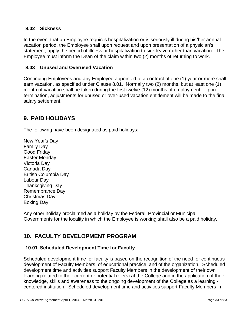#### <span id="page-32-0"></span>**8.02 Sickness**

In the event that an Employee requires hospitalization or is seriously ill during his/her annual vacation period, the Employee shall upon request and upon presentation of a physician's statement, apply the period of illness or hospitalization to sick leave rather than vacation. The Employee must inform the Dean of the claim within two (2) months of returning to work.

#### <span id="page-32-1"></span>**8.03 Unused and Overused Vacation**

Continuing Employees and any Employee appointed to a contract of one (1) year or more shall earn vacation, as specified under Clause 8.01. Normally two (2) months, but at least one (1) month of vacation shall be taken during the first twelve (12) months of employment. Upon termination, adjustments for unused or over-used vacation entitlement will be made to the final salary settlement.

### <span id="page-32-2"></span>**9. PAID HOLIDAYS**

The following have been designated as paid holidays:

New Year's Day Family Day Good Friday Easter Monday Victoria Day Canada Day British Columbia Day Labour Day Thanksgiving Day Remembrance Day Christmas Day Boxing Day

Any other holiday proclaimed as a holiday by the Federal, Provincial or Municipal Governments for the locality in which the Employee is working shall also be a paid holiday.

# <span id="page-32-3"></span>**10. FACULTY DEVELOPMENT PROGRAM**

#### <span id="page-32-4"></span>**10.01 Scheduled Development Time for Faculty**

Scheduled development time for faculty is based on the recognition of the need for continuous development of Faculty Members, of educational practice, and of the organization. Scheduled development time and activities support Faculty Members in the development of their own learning related to their current or potential role(s) at the College and in the application of their knowledge, skills and awareness to the ongoing development of the College as a learning centered institution. Scheduled development time and activities support Faculty Members in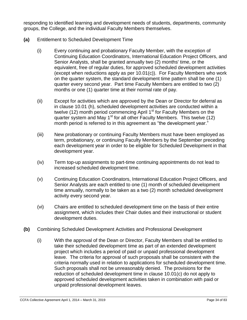responding to identified learning and development needs of students, departments, community groups, the College, and the individual Faculty Members themselves.

- **(a)** Entitlement to Scheduled Development Time
	- (i) Every continuing and probationary Faculty Member, with the exception of Continuing Education Coordinators, International Education Project Officers, and Senior Analysts, shall be granted annually two (2) months' time, or the equivalent, free of regular duties, for approved scheduled development activities (except when reductions apply as per 10.01(c)). For Faculty Members who work on the quarter system, the standard development time pattern shall be one (1) quarter every second year. Part time Faculty Members are entitled to two (2) months or one (1) quarter time at their normal rate of pay.
	- (ii) Except for activities which are approved by the Dean or Director for deferral as in clause 10.01 (h), scheduled development activities are conducted within a twelve (12) month period commencing April 1<sup>st</sup> for Faculty Members on the quarter system and May  $1<sup>st</sup>$  for all other Faculty Members. This twelve (12) month period is referred to in this agreement as "the development year."
	- (iii) New probationary or continuing Faculty Members must have been employed as term, probationary, or continuing Faculty Members by the September preceding each development year in order to be eligible for Scheduled Development in that development year.
	- (iv) Term top-up assignments to part-time continuing appointments do not lead to increased scheduled development time.
	- (v) Continuing Education Coordinators, International Education Project Officers, and Senior Analysts are each entitled to one (1) month of scheduled development time annually, normally to be taken as a two (2) month scheduled development activity every second year.
	- (vi) Chairs are entitled to scheduled development time on the basis of their entire assignment, which includes their Chair duties and their instructional or student development duties.
- **(b)** Combining Scheduled Development Activities and Professional Development
	- (i) With the approval of the Dean or Director, Faculty Members shall be entitled to take their scheduled development time as part of an extended development project which includes a period of paid or unpaid professional development leave. The criteria for approval of such proposals shall be consistent with the criteria normally used in relation to applications for scheduled development time. Such proposals shall not be unreasonably denied. The provisions for the reduction of scheduled development time in clause 10.01(c) do not apply to approved scheduled development activities taken in combination with paid or unpaid professional development leaves.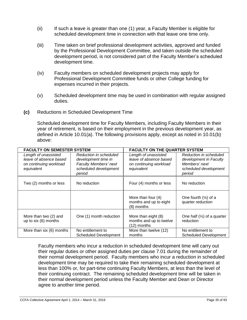- (ii) If such a leave is greater than one (1) year, a Faculty Member is eligible for scheduled development time in connection with that leave one time only.
- (iii) Time taken on brief professional development activities, approved and funded by the Professional Development Committee, and taken outside the scheduled development period, is not considered part of the Faculty Member's scheduled development time.
- (iv) Faculty members on scheduled development projects may apply for Professional Development Committee funds or other College funding for expenses incurred in their projects.
- (v) Scheduled development time may be used in combination with regular assigned duties.
- **(c)** Reductions in Scheduled Development Time

Scheduled development time for Faculty Members, including Faculty Members in their year of retirement, is based on their employment in the previous development year, as defined in Article 10.01(a). The following provisions apply, except as noted in 10.01(b) above:

| <b>FACULTY ON SEMESTER SYSTEM</b>                                                      |                                                                                                           | <b>FACULTY ON THE QUARTER SYSTEM</b>                                                   |                                                                                                      |
|----------------------------------------------------------------------------------------|-----------------------------------------------------------------------------------------------------------|----------------------------------------------------------------------------------------|------------------------------------------------------------------------------------------------------|
| Length of unassisted<br>leave of absence based<br>on continuing workload<br>equivalent | Reduction in scheduled<br>development time in<br>Faculty Members' next<br>scheduled development<br>period | Length of unassisted<br>leave of absence based<br>on continuing workload<br>equivalent | Reduction in scheduled<br>development in Faculty<br>Members' next<br>scheduled development<br>period |
| Two (2) months or less                                                                 | No reduction                                                                                              | Four (4) months or less                                                                | No reduction                                                                                         |
|                                                                                        |                                                                                                           | More than four (4)<br>months and up to eight<br>(8) months                             | One fourth $(\frac{1}{4})$ of a<br>quarter reduction                                                 |
| More than two (2) and<br>up to six (6) months                                          | One (1) month reduction                                                                                   | More than eight (8)<br>months and up to twelve<br>(12) months                          | One half $(\frac{1}{2})$ of a quarter<br>reduction                                                   |
| More than six (6) months                                                               | No entitlement to<br><b>Scheduled Development</b>                                                         | More than twelve (12)<br>months                                                        | No entitlement to<br><b>Scheduled Development</b>                                                    |

Faculty members who incur a reduction in scheduled development time will carry out their regular duties or other assigned duties per clause 7.01 during the remainder of their normal development period. Faculty members who incur a reduction in scheduled development time may be required to take their remaining scheduled development at less than 100% or, for part-time continuing Faculty Members, at less than the level of their continuing contract. The remaining scheduled development time will be taken in their normal development period unless the Faculty Member and Dean or Director agree to another time period.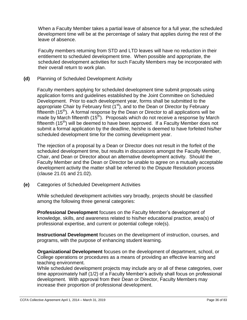When a Faculty Member takes a partial leave of absence for a full year, the scheduled development time will be at the percentage of salary that applies during the rest of the leave of absence.

Faculty members returning from STD and LTD leaves will have no reduction in their entitlement to scheduled development time. When possible and appropriate, the scheduled development activities for such Faculty Members may be incorporated with their overall return to work plan.

**(d)** Planning of Scheduled Development Activity

Faculty members applying for scheduled development time submit proposals using application forms and guidelines established by the Joint Committee on Scheduled Development. Prior to each development year, forms shall be submitted to the appropriate Chair by February first  $(1<sup>st</sup>)$ , and to the Dean or Director by February fifteenth  $(15<sup>th</sup>)$ . A formal response by the Dean or Director to all applications will be made by March fifteenth  $(15<sup>th</sup>)$ . Proposals which do not receive a response by March fifteenth (15<sup>th</sup>) will be deemed to have been approved. If a Faculty Member does not submit a formal application by the deadline, he/she is deemed to have forfeited his/her scheduled development time for the coming development year.

The rejection of a proposal by a Dean or Director does not result in the forfeit of the scheduled development time, but results in discussions amongst the Faculty Member, Chair, and Dean or Director about an alternative development activity. Should the Faculty Member and the Dean or Director be unable to agree on a mutually acceptable development activity the matter shall be referred to the Dispute Resolution process (clause 21.01 and 21.02).

**(e)** Categories of Scheduled Development Activities

While scheduled development activities vary broadly, projects should be classified among the following three general categories:

**Professional Development** focuses on the Faculty Member's development of knowledge, skills, and awareness related to his/her educational practice, area(s) of professional expertise, and current or potential college role(s).

**Instructional Development** focuses on the development of instruction, courses, and programs, with the purpose of enhancing student learning.

**Organizational Development** focuses on the development of department, school, or College operations or procedures as a means of providing an effective learning and teaching environment.

While scheduled development projects may include any or all of these categories, over time approximately half (1/2) of a Faculty Member's activity shall focus on professional development. With approval from their Dean or Director, Faculty Members may increase their proportion of professional development.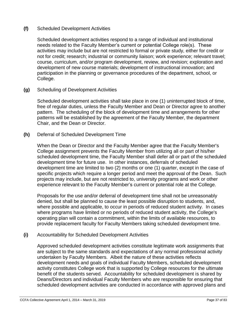### **(f)** Scheduled Development Activities

Scheduled development activities respond to a range of individual and institutional needs related to the Faculty Member's current or potential College role(s). These activities may include but are not restricted to formal or private study, either for credit or not for credit; research; industrial or community liaison; work experience; relevant travel; course, curriculum, and/or program development, review, and revision; exploration and development of new course materials; development of instructional innovation; and participation in the planning or governance procedures of the department, school, or College.

**(g)** Scheduling of Development Activities

Scheduled development activities shall take place in one (1) uninterrupted block of time, free of regular duties, unless the Faculty Member and Dean or Director agree to another pattern. The scheduling of the block of development time and arrangements for other patterns will be established by the agreement of the Faculty Member, the department Chair, and the Dean or Director.

**(h)** Deferral of Scheduled Development Time

When the Dean or Director and the Faculty Member agree that the Faculty Member's College assignment prevents the Faculty Member from utilizing all or part of his/her scheduled development time, the Faculty Member shall defer all or part of the scheduled development time for future use. In other instances, deferrals of scheduled development time are limited to two (2) months or one (1) quarter, except in the case of specific projects which require a longer period and meet the approval of the Dean. Such projects may include, but are not restricted to, university programs and work or other experience relevant to the Faculty Member's current or potential role at the College.

Proposals for the use and/or deferral of development time shall not be unreasonably denied, but shall be planned to cause the least possible disruption to students, and, where possible and applicable, to occur in periods of reduced student activity. In cases where programs have limited or no periods of reduced student activity, the College's operating plan will contain a commitment, within the limits of available resources, to provide replacement faculty for Faculty Members taking scheduled development time.

**(i)** Accountability for Scheduled Development Activities

Approved scheduled development activities constitute legitimate work assignments that are subject to the same standards and expectations of any normal professional activity undertaken by Faculty Members. Albeit the nature of these activities reflects development needs and goals of individual Faculty Members, scheduled development activity constitutes College work that is supported by College resources for the ultimate benefit of the students served. Accountability for scheduled development is shared by Deans/Directors and individual Faculty Members who are responsible for ensuring that scheduled development activities are conducted in accordance with approved plans and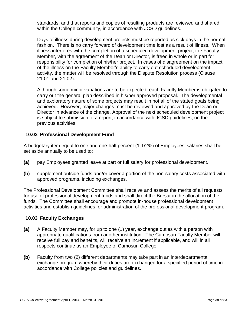standards, and that reports and copies of resulting products are reviewed and shared within the College community, in accordance with JCSD guidelines.

Days of illness during development projects must be reported as sick days in the normal fashion. There is no carry forward of development time lost as a result of illness. When illness interferes with the completion of a scheduled development project, the Faculty Member, with the agreement of the Dean or Director, is freed in whole or in part for responsibility for completion of his/her project. In cases of disagreement on the impact of the illness on the Faculty Member's ability to carry out scheduled development activity, the matter will be resolved through the Dispute Resolution process (Clause 21.01 and 21.02).

Although some minor variations are to be expected, each Faculty Member is obligated to carry out the general plan described in his/her approved proposal. The developmental and exploratory nature of some projects may result in not all of the stated goals being achieved. However, major changes must be reviewed and approved by the Dean or Director in advance of the change. Approval of the next scheduled development project is subject to submission of a report, in accordance with JCSD guidelines, on the previous activities.

## **10.02 Professional Development Fund**

A budgetary item equal to one and one-half percent (1-1/2%) of Employees' salaries shall be set aside annually to be used to:

- **(a)** pay Employees granted leave at part or full salary for professional development.
- **(b)** supplement outside funds and/or cover a portion of the non-salary costs associated with approved programs, including exchanges.

The Professional Development Committee shall receive and assess the merits of all requests for use of professional development funds and shall direct the Bursar in the allocation of the funds. The Committee shall encourage and promote in-house professional development activities and establish guidelines for administration of the professional development program.

### **10.03 Faculty Exchanges**

- **(a)** A Faculty Member may, for up to one (1) year, exchange duties with a person with appropriate qualifications from another institution. The Camosun Faculty Member will receive full pay and benefits, will receive an increment if applicable, and will in all respects continue as an Employee of Camosun College.
- **(b)** Faculty from two (2) different departments may take part in an interdepartmental exchange program whereby their duties are exchanged for a specified period of time in accordance with College policies and guidelines.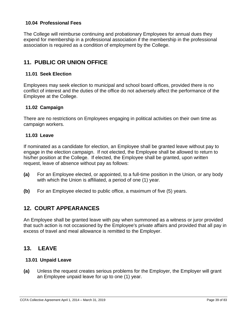## **10.04 Professional Fees**

The College will reimburse continuing and probationary Employees for annual dues they expend for membership in a professional association if the membership in the professional association is required as a condition of employment by the College.

# **11. PUBLIC OR UNION OFFICE**

## **11.01 Seek Election**

Employees may seek election to municipal and school board offices, provided there is no conflict of interest and the duties of the office do not adversely affect the performance of the Employee at the College.

### **11.02 Campaign**

There are no restrictions on Employees engaging in political activities on their own time as campaign workers.

#### **11.03 Leave**

If nominated as a candidate for election, an Employee shall be granted leave without pay to engage in the election campaign. If not elected, the Employee shall be allowed to return to his/her position at the College. If elected, the Employee shall be granted, upon written request, leave of absence without pay as follows:

- **(a)** For an Employee elected, or appointed, to a full-time position in the Union, or any body with which the Union is affiliated, a period of one (1) year.
- **(b)** For an Employee elected to public office, a maximum of five (5) years.

# **12. COURT APPEARANCES**

An Employee shall be granted leave with pay when summoned as a witness or juror provided that such action is not occasioned by the Employee's private affairs and provided that all pay in excess of travel and meal allowance is remitted to the Employer.

## **13. LEAVE**

### **13.01 Unpaid Leave**

**(a)** Unless the request creates serious problems for the Employer, the Employer will grant an Employee unpaid leave for up to one (1) year.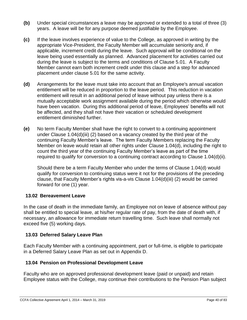- **(b)** Under special circumstances a leave may be approved or extended to a total of three (3) years. A leave will be for any purpose deemed justifiable by the Employee.
- **(c)** If the leave involves experience of value to the College, as approved in writing by the appropriate Vice-President, the Faculty Member will accumulate seniority and, if applicable, increment credit during the leave. Such approval will be conditional on the leave being used essentially as planned. Advanced placement for activities carried out during the leave is subject to the terms and conditions of Clause 5.01. A Faculty Member cannot earn both increment credit under this clause and a step for advanced placement under clause 5.01 for the same activity.
- **(d)** Arrangements for the leave must take into account that an Employee's annual vacation entitlement will be reduced in proportion to the leave period. This reduction in vacation entitlement will result in an additional period of leave without pay unless there is a mutually acceptable work assignment available during the period which otherwise would have been vacation. During this additional period of leave, Employees' benefits will not be affected, and they shall not have their vacation or scheduled development entitlement diminished further.
- **(e)** No term Faculty Member shall have the right to convert to a continuing appointment under Clause 1.04(d)(iii) (2) based on a vacancy created by the third year of the continuing Faculty Member's leave. The term Faculty Members replacing the Faculty Member on leave would retain all other rights under Clause 1.04(d), including the right to count the third year of the continuing Faculty Member's leave as part of the time required to qualify for conversion to a continuing contract according to Clause 1.04(d)(ii).

Should there be a term Faculty Member who under the terms of Clause 1.04(d) would qualify for conversion to continuing status were it not for the provisions of the preceding clause, that Faculty Member's rights vis-a-vis Clause 1.04(d)(iii) (2) would be carried forward for one (1) year.

## **13.02 Bereavement Leave**

In the case of death in the immediate family, an Employee not on leave of absence without pay shall be entitled to special leave, at his/her regular rate of pay, from the date of death with, if necessary, an allowance for immediate return travelling time. Such leave shall normally not exceed five (5) working days.

## **13.03 Deferred Salary Leave Plan**

Each Faculty Member with a continuing appointment, part or full-time, is eligible to participate in a Deferred Salary Leave Plan as set out in Appendix D.

### **13.04 Pension on Professional Development Leave**

Faculty who are on approved professional development leave (paid or unpaid) and retain Employee status with the College, may continue their contributions to the Pension Plan subject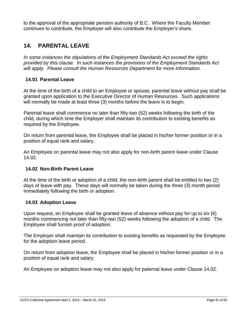to the approval of the appropriate pension authority of B.C. Where the Faculty Member continues to contribute, the Employer will also contribute the Employer's share.

# **14. PARENTAL LEAVE**

*In some instances the stipulations of the Employment Standards Act exceed the rights provided by this clause. In such instances the provisions of the Employment Standards Act will apply. Please consult the Human Resources Department for more information.*

## **14.01 Parental Leave**

At the time of the birth of a child to an Employee or spouse, parental leave without pay shall be granted upon application to the Executive Director of Human Resources. Such applications will normally be made at least three (3) months before the leave is to begin.

Parental leave shall commence no later than fifty-two (52) weeks following the birth of the child, during which time the Employer shall maintain its contribution to existing benefits as required by the Employee.

On return from parental leave, the Employee shall be placed in his/her former position or in a position of equal rank and salary.

An Employee on parental leave may not also apply for non-birth parent leave under Clause 14.02.

### **14.02 Non-Birth Parent Leave**

At the time of the birth or adoption of a child, the non-birth parent shall be entitled to two (2) days of leave with pay. These days will normally be taken during the three (3) month period immediately following the birth or adoption.

### **14.03 Adoption Leave**

Upon request, an Employee shall be granted leave of absence without pay for up to six (6) months commencing not later than fifty-two (52) weeks following the adoption of a child. The Employee shall furnish proof of adoption.

The Employer shall maintain its contribution to existing benefits as requested by the Employee for the adoption leave period.

On return from adoption leave, the Employee shall be placed in his/her former position or in a position of equal rank and salary.

An Employee on adoption leave may not also apply for paternal leave under Clause 14.02.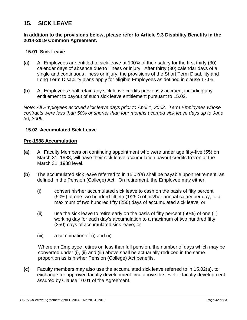## **15. SICK LEAVE**

#### **In addition to the provisions below, please refer to Article 9.3 Disability Benefits in the 2014-2019 Common Agreement.**

#### **15.01 Sick Leave**

- **(a)** All Employees are entitled to sick leave at 100% of their salary for the first thirty (30) calendar days of absence due to illness or injury. After thirty (30) calendar days of a single and continuous illness or injury, the provisions of the Short Term Disability and Long Term Disability plans apply for eligible Employees as defined in clause 17.05.
- **(b)** All Employees shall retain any sick leave credits previously accrued, including any entitlement to payout of such sick leave entitlement pursuant to 15.02.

*Note: All Employees accrued sick leave days prior to April 1, 2002. Term Employees whose contracts were less than 50% or shorter than four months accrued sick leave days up to June 30, 2006.*

#### **15.02 Accumulated Sick Leave**

#### **Pre-1988 Accumulation**

- **(a)** All Faculty Members on continuing appointment who were under age fifty-five (55) on March 31, 1988, will have their sick leave accumulation payout credits frozen at the March 31, 1988 level.
- **(b)** The accumulated sick leave referred to in 15.02(a) shall be payable upon retirement, as defined in the Pension (College) Act.On retirement, the Employee may either:
	- (i) convert his/her accumulated sick leave to cash on the basis of fifty percent (50%) of one two hundred fiftieth (1/250) of his/her annual salary per day, to a maximum of two hundred fifty (250) days of accumulated sick leave; or
	- (ii) use the sick leave to retire early on the basis of fifty percent (50%) of one (1) working day for each day's accumulation to a maximum of two hundred fifty (250) days of accumulated sick leave; or
	- (iii) a combination of (i) and (ii).

Where an Employee retires on less than full pension, the number of days which may be converted under (i), (ii) and (iii) above shall be actuarially reduced in the same proportion as is his/her Pension (College) Act benefits.

**(c)** Faculty members may also use the accumulated sick leave referred to in 15.02(a), to exchange for approved faculty development time above the level of faculty development assured by Clause 10.01 of the Agreement.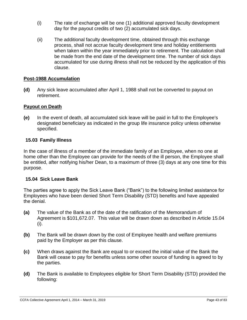- (i) The rate of exchange will be one (1) additional approved faculty development day for the payout credits of two (2) accumulated sick days.
- (ii) The additional faculty development time, obtained through this exchange process, shall not accrue faculty development time and holiday entitlements when taken within the year immediately prior to retirement. The calculation shall be made from the end date of the development time. The number of sick days accumulated for use during illness shall not be reduced by the application of this clause.

## **Post-1988 Accumulation**

**(d)** Any sick leave accumulated after April 1, 1988 shall not be converted to payout on retirement.

## **Payout on Death**

**(e)** In the event of death, all accumulated sick leave will be paid in full to the Employee's designated beneficiary as indicated in the group life insurance policy unless otherwise specified.

### **15.03 Family Illness**

In the case of illness of a member of the immediate family of an Employee, when no one at home other than the Employee can provide for the needs of the ill person, the Employee shall be entitled, after notifying his/her Dean, to a maximum of three (3) days at any one time for this purpose.

### **15.04 Sick Leave Bank**

The parties agree to apply the Sick Leave Bank ("Bank") to the following limited assistance for Employees who have been denied Short Term Disability (STD) benefits and have appealed the denial.

- **(a)** The value of the Bank as of the date of the ratification of the Memorandum of Agreement is \$101,672.07. This value will be drawn down as described in Article 15.04 (i).
- **(b)** The Bank will be drawn down by the cost of Employee health and welfare premiums paid by the Employer as per this clause.
- **(c)** When draws against the Bank are equal to or exceed the initial value of the Bank the Bank will cease to pay for benefits unless some other source of funding is agreed to by the parties.
- **(d)** The Bank is available to Employees eligible for Short Term Disability (STD) provided the following: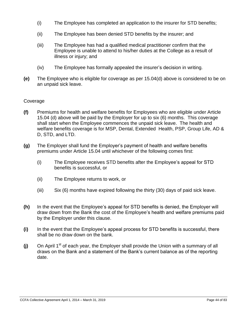- (i) The Employee has completed an application to the insurer for STD benefits;
- (ii) The Employee has been denied STD benefits by the insurer; and
- (iii) The Employee has had a qualified medical practitioner confirm that the Employee is unable to attend to his/her duties at the College as a result of illness or injury; and
- (iv) The Employee has formally appealed the insurer's decision in writing.
- **(e)** The Employee who is eligible for coverage as per 15.04(d) above is considered to be on an unpaid sick leave.

### Coverage

- **(f)** Premiums for health and welfare benefits for Employees who are eligible under Article 15.04 (d) above will be paid by the Employer for up to six (6) months. This coverage shall start when the Employee commences the unpaid sick leave. The health and welfare benefits coverage is for MSP, Dental, Extended Health, PSP, Group Life, AD & D, STD, and LTD.
- **(g)** The Employer shall fund the Employer's payment of health and welfare benefits premiums under Article 15.04 until whichever of the following comes first:
	- (i) The Employee receives STD benefits after the Employee's appeal for STD benefits is successful, or
	- (ii) The Employee returns to work, or
	- (iii) Six (6) months have expired following the thirty (30) days of paid sick leave.
- **(h)** In the event that the Employee's appeal for STD benefits is denied, the Employer will draw down from the Bank the cost of the Employee's health and welfare premiums paid by the Employer under this clause.
- **(i)** In the event that the Employee's appeal process for STD benefits is successful, there shall be no draw down on the bank.
- **(j)** On April 1<sup>st</sup> of each year, the Employer shall provide the Union with a summary of all draws on the Bank and a statement of the Bank's current balance as of the reporting date.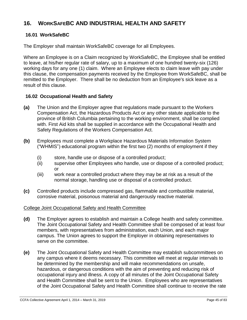# **16. WORKSAFEBC AND INDUSTRIAL HEALTH AND SAFETY**

## **16.01 WorkSafeBC**

The Employer shall maintain WorkSafeBC coverage for all Employees.

Where an Employee is on a Claim recognized by WorkSafeBC, the Employee shall be entitled to leave, at his/her regular rate of salary, up to a maximum of one hundred twenty-six (126) working days for any one (1) claim. Where an Employee elects to claim leave with pay under this clause, the compensation payments received by the Employee from WorkSafeBC, shall be remitted to the Employer. There shall be no deduction from an Employee's sick leave as a result of this clause.

## **16.02 Occupational Health and Safety**

- **(a)** The Union and the Employer agree that regulations made pursuant to the Workers Compensation Act, the Hazardous Products Act or any other statute applicable to the province of British Columbia pertaining to the working environment, shall be complied with. First Aid kits shall be supplied in accordance with the Occupational Health and Safety Regulations of the Workers Compensation Act.
- **(b)** Employees must complete a Workplace Hazardous Materials Information System ("WHMIS") educational program within the first two (2) months of employment if they
	- (i) store, handle use or dispose of a controlled product;
	- (ii) supervise other Employees who handle, use or dispose of a controlled product; or
	- (iii) work near a controlled product where they may be at risk as a result of the normal storage, handling use or disposal of a controlled product.
- **(c)** Controlled products include compressed gas, flammable and combustible material, corrosive material, poisonous material and dangerously reactive material.

### College Joint Occupational Safety and Health Committee

- **(d)** The Employer agrees to establish and maintain a College health and safety committee. The Joint Occupational Safety and Health Committee shall be composed of at least four members, with representatives from administration, each Union, and each major campus. The Union agrees to support the Employer in obtaining representatives to serve on the committee.
- **(e)** The Joint Occupational Safety and Health Committee may establish subcommittees on any campus where it deems necessary. This committee will meet at regular intervals to be determined by the membership and will make recommendations on unsafe, hazardous, or dangerous conditions with the aim of preventing and reducing risk of occupational injury and illness. A copy of all minutes of the Joint Occupational Safety and Health Committee shall be sent to the Union. Employees who are representatives of the Joint Occupational Safety and Health Committee shall continue to receive the rate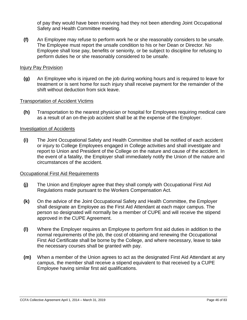of pay they would have been receiving had they not been attending Joint Occupational Safety and Health Committee meeting.

**(f)** An Employee may refuse to perform work he or she reasonably considers to be unsafe. The Employee must report the unsafe condition to his or her Dean or Director. No Employee shall lose pay, benefits or seniority, or be subject to discipline for refusing to perform duties he or she reasonably considered to be unsafe.

#### Injury Pay Provision

**(g)** An Employee who is injured on the job during working hours and is required to leave for treatment or is sent home for such injury shall receive payment for the remainder of the shift without deduction from sick leave.

#### Transportation of Accident Victims

**(h)** Transportation to the nearest physician or hospital for Employees requiring medical care as a result of an on-the-job accident shall be at the expense of the Employer.

#### Investigation of Accidents

**(i)** The Joint Occupational Safety and Health Committee shall be notified of each accident or injury to College Employees engaged in College activities and shall investigate and report to Union and President of the College on the nature and cause of the accident. In the event of a fatality, the Employer shall immediately notify the Union of the nature and circumstances of the accident.

#### Occupational First Aid Requirements

- **(j)** The Union and Employer agree that they shall comply with Occupational First Aid Regulations made pursuant to the Workers Compensation Act.
- **(k)** On the advice of the Joint Occupational Safety and Health Committee, the Employer shall designate an Employee as the First Aid Attendant at each major campus. The person so designated will normally be a member of CUPE and will receive the stipend approved in the CUPE Agreement.
- **(l)** Where the Employer requires an Employee to perform first aid duties in addition to the normal requirements of the job, the cost of obtaining and renewing the Occupational First Aid Certificate shall be borne by the College, and where necessary, leave to take the necessary courses shall be granted with pay.
- **(m)** When a member of the Union agrees to act as the designated First Aid Attendant at any campus, the member shall receive a stipend equivalent to that received by a CUPE Employee having similar first aid qualifications.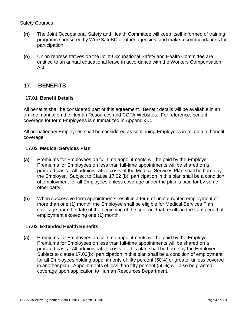## Safety Courses

- **(n)** The Joint Occupational Safety and Health Committee will keep itself informed of training programs sponsored by WorkSafeBC or other agencies, and make recommendations for participation.
- **(o)** Union representatives on the Joint Occupational Safety and Health Committee are entitled to an annual educational leave in accordance with the Workers Compensation Act.

# **17. BENEFITS**

## **17.01 Benefit Details**

All benefits shall be considered part of this agreement. Benefit details will be available in an on-line manual on the Human Resources and CCFA Websites. For reference, benefit coverage for term Employees is summarized in Appendix C.

All probationary Employees shall be considered as continuing Employees in relation to benefit coverage.

#### **17.02 Medical Services Plan**

- **(a)** Premiums for Employees on full-time appointments will be paid by the Employer. Premiums for Employees on less than full-time appointments will be shared on a prorated basis. All administrative costs of the Medical Services Plan shall be borne by the Employer. Subject to Clause 17.02 (b), participation in this plan shall be a condition of employment for all Employees unless coverage under the plan is paid for by some other party.
- **(b)** When successive term appointments result in a term of uninterrupted employment of more than one (1) month, the Employee shall be eligible for Medical Services Plan coverage from the date of the beginning of the contract that results in the total period of employment exceeding one (1) month.

### **17.03 Extended Health Benefits**

**(a)** Premiums for Employees on full-time appointments will be paid by the Employer. Premiums for Employees on less than full-time appointments will be shared on a prorated basis. All administrative costs for this plan shall be borne by the Employer. Subject to clause 17.03(b), participation in this plan shall be a condition of employment for all Employees holding appointments of fifty percent (50%) or greater unless covered in another plan. Appointments of less than fifty percent (50%) will also be granted coverage upon application to Human Resources Department.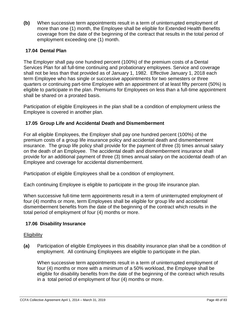**(b)** When successive term appointments result in a term of uninterrupted employment of more than one (1) month, the Employee shall be eligible for Extended Health Benefits coverage from the date of the beginning of the contract that results in the total period of employment exceeding one (1) month.

## **17.04 Dental Plan**

The Employer shall pay one hundred percent (100%) of the premium costs of a Dental Services Plan for all full-time continuing and probationary employees. Service and coverage shall not be less than that provided as of January 1, 1982. Effective January 1, 2018 each term Employee who has single or successive appointments for two semesters or three quarters or continuing part-time Employee with an appointment of at least fifty percent (50%) is eligible to participate in the plan. Premiums for Employees on less than a full-time appointment shall be shared on a prorated basis.

Participation of eligible Employees in the plan shall be a condition of employment unless the Employee is covered in another plan.

## **17.05 Group Life and Accidental Death and Dismemberment**

For all eligible Employees, the Employer shall pay one hundred percent (100%) of the premium costs of a group life insurance policy and accidental death and dismemberment insurance. The group life policy shall provide for the payment of three (3) times annual salary on the death of an Employee. The accidental death and dismemberment insurance shall provide for an additional payment of three (3) times annual salary on the accidental death of an Employee and coverage for accidental dismemberment.

Participation of eligible Employees shall be a condition of employment.

Each continuing Employee is eligible to participate in the group life insurance plan.

When successive full-time term appointments result in a term of uninterrupted employment of four (4) months or more, term Employees shall be eligible for group life and accidental dismemberment benefits from the date of the beginning of the contract which results in the total period of employment of four (4) months or more.

### **17.06 Disability Insurance**

### **Eligibility**

**(a)** Participation of eligible Employees in this disability insurance plan shall be a condition of employment. All continuing Employees are eligible to participate in the plan.

When successive term appointments result in a term of uninterrupted employment of four (4) months or more with a minimum of a 50% workload, the Employee shall be eligible for disability benefits from the date of the beginning of the contract which results in a total period of employment of four (4) months or more.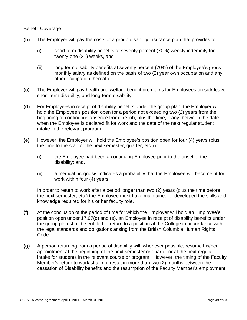#### Benefit Coverage

- **(b)** The Employer will pay the costs of a group disability insurance plan that provides for
	- (i) short term disability benefits at seventy percent (70%) weekly indemnity for twenty-one (21) weeks, and
	- (ii) long term disability benefits at seventy percent (70%) of the Employee's gross monthly salary as defined on the basis of two (2) year own occupation and any other occupation thereafter.
- **(c)** The Employer will pay health and welfare benefit premiums for Employees on sick leave, short-term disability, and long-term disability.
- **(d)** For Employees in receipt of disability benefits under the group plan, the Employer will hold the Employee's position open for a period not exceeding two (2) years from the beginning of continuous absence from the job, plus the time, if any, between the date when the Employee is declared fit for work and the date of the next regular student intake in the relevant program.
- **(e)** However, the Employer will hold the Employee's position open for four (4) years (plus the time to the start of the next semester, quarter, etc.) if:
	- (i) the Employee had been a continuing Employee prior to the onset of the disability; and,
	- (ii) a medical prognosis indicates a probability that the Employee will become fit for work within four (4) years.

In order to return to work after a period longer than two (2) years (plus the time before the next semester, etc.) the Employee must have maintained or developed the skills and knowledge required for his or her faculty role.

- **(f)** At the conclusion of the period of time for which the Employer will hold an Employee's position open under 17.07(d) and (e), an Employee in receipt of disability benefits under the group plan shall be entitled to return to a position at the College in accordance with the legal standards and obligations arising from the British Columbia Human Rights Code.
- **(g)** A person returning from a period of disability will, whenever possible, resume his/her appointment at the beginning of the next semester or quarter or at the next regular intake for students in the relevant course or program. However, the timing of the Faculty Member's return to work shall not result in more than two (2) months between the cessation of Disability benefits and the resumption of the Faculty Member's employment.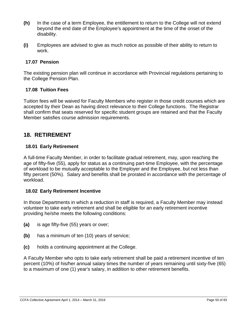- **(h)** In the case of a term Employee, the entitlement to return to the College will not extend beyond the end date of the Employee's appointment at the time of the onset of the disability.
- **(i)** Employees are advised to give as much notice as possible of their ability to return to work.

## **17.07 Pension**

The existing pension plan will continue in accordance with Provincial regulations pertaining to the College Pension Plan.

## **17.08 Tuition Fees**

Tuition fees will be waived for Faculty Members who register in those credit courses which are accepted by their Dean as having direct relevance to their College functions. The Registrar shall confirm that seats reserved for specific student groups are retained and that the Faculty Member satisfies course admission requirements.

## **18. RETIREMENT**

## **18.01 Early Retirement**

A full-time Faculty Member, in order to facilitate gradual retirement, may, upon reaching the age of fifty-five (55), apply for status as a continuing part-time Employee, with the percentage of workload to be mutually acceptable to the Employer and the Employee, but not less than fifty percent (50%). Salary and benefits shall be prorated in accordance with the percentage of workload.

### **18.02 Early Retirement Incentive**

In those Departments in which a reduction in staff is required, a Faculty Member may instead volunteer to take early retirement and shall be eligible for an early retirement incentive providing he/she meets the following conditions:

- **(a)** is age fifty-five (55) years or over;
- **(b)** has a minimum of ten (10) years of service;
- **(c)** holds a continuing appointment at the College.

A Faculty Member who opts to take early retirement shall be paid a retirement incentive of ten percent (10%) of his/her annual salary times the number of years remaining until sixty-five (65) to a maximum of one (1) year's salary, in addition to other retirement benefits.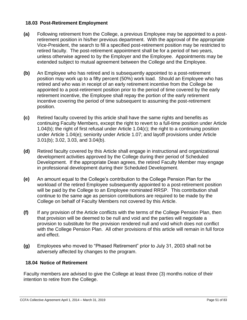## **18.03 Post-Retirement Employment**

- **(a)** Following retirement from the College, a previous Employee may be appointed to a postretirement position in his/her previous department. With the approval of the appropriate Vice-President, the search to fill a specified post-retirement position may be restricted to retired faculty. The post-retirement appointment shall be for a period of two years, unless otherwise agreed to by the Employer and the Employee. Appointments may be extended subject to mutual agreement between the College and the Employee.
- **(b)** An Employee who has retired and is subsequently appointed to a post-retirement position may work up to a fifty percent (50%) work load. Should an Employee who has retired and who was in receipt of an early retirement incentive from the College be appointed to a post-retirement position prior to the period of time covered by the early retirement incentive, the Employee shall repay the portion of the early retirement incentive covering the period of time subsequent to assuming the post-retirement position.
- **(c)** Retired faculty covered by this article shall have the same rights and benefits as continuing Faculty Members, except the right to revert to a full-time position under Article 1.04(b); the right of first refusal under Article 1.04(c); the right to a continuing position under Article 1.04(e); seniority under Article 1.07; and layoff provisions under Article 3.01(b); 3.02, 3.03, and 3.04(b).
- **(d)** Retired faculty covered by this Article shall engage in instructional and organizational development activities approved by the College during their period of Scheduled Development. If the appropriate Dean agrees, the retired Faculty Member may engage in professional development during their Scheduled Development.
- **(e)** An amount equal to the College's contribution to the College Pension Plan for the workload of the retired Employee subsequently appointed to a post-retirement position will be paid by the College to an Employee nominated RRSP. This contribution shall continue to the same age as pension contributions are required to be made by the College on behalf of Faculty Members not covered by this Article.
- **(f)** If any provision of the Article conflicts with the terms of the College Pension Plan, then that provision will be deemed to be null and void and the parties will negotiate a provision to substitute for the provision rendered null and void which does not conflict with the College Pension Plan. All other provisions of this article will remain in full force and effect.
- **(g)** Employees who moved to "Phased Retirement" prior to July 31, 2003 shall not be adversely affected by changes to the program.

## **18.04 Notice of Retirement**

Faculty members are advised to give the College at least three (3) months notice of their intention to retire from the College.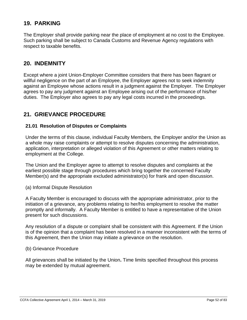# **19. PARKING**

The Employer shall provide parking near the place of employment at no cost to the Employee. Such parking shall be subject to Canada Customs and Revenue Agency regulations with respect to taxable benefits.

## **20. INDEMNITY**

Except where a joint Union-Employer Committee considers that there has been flagrant or willful negligence on the part of an Employee, the Employer agrees not to seek indemnity against an Employee whose actions result in a judgment against the Employer. The Employer agrees to pay any judgment against an Employee arising out of the performance of his/her duties. The Employer also agrees to pay any legal costs incurred in the proceedings.

# **21. GRIEVANCE PROCEDURE**

## **21.01 Resolution of Disputes or Complaints**

Under the terms of this clause, individual Faculty Members, the Employer and/or the Union as a whole may raise complaints or attempt to resolve disputes concerning the administration, application, interpretation or alleged violation of this Agreement or other matters relating to employment at the College.

The Union and the Employer agree to attempt to resolve disputes and complaints at the earliest possible stage through procedures which bring together the concerned Faculty Member(s) and the appropriate excluded administrator(s) for frank and open discussion.

(a) Informal Dispute Resolution

A Faculty Member is encouraged to discuss with the appropriate administrator, prior to the initiation of a grievance, any problems relating to her/his employment to resolve the matter promptly and informally. A Faculty Member is entitled to have a representative of the Union present for such discussions.

Any resolution of a dispute or complaint shall be consistent with this Agreement. If the Union is of the opinion that a complaint has been resolved in a manner inconsistent with the terms of this Agreement, then the Union may initiate a grievance on the resolution.

#### (b) Grievance Procedure

All grievances shall be initiated by the Union**.** Time limits specified throughout this process may be extended by mutual agreement.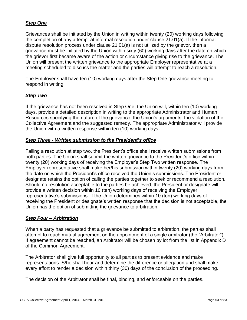## *Step One*

Grievances shall be initiated by the Union in writing within twenty (20) working days following the completion of any attempt at informal resolution under clause 21.01(a). If the informal dispute resolution process under clause 21.01(a) is not utilized by the grievor, then a grievance must be initiated by the Union within sixty (60) working days after the date on which the grievor first became aware of the action or circumstance giving rise to the grievance. The Union will present the written grievance to the appropriate Employer representative at a meeting scheduled to discuss the matter and the parties will attempt to reach a resolution.

The Employer shall have ten (10) working days after the Step One grievance meeting to respond in writing.

## *Step Two*

If the grievance has not been resolved in Step One, the Union will, within ten (10) working days, provide a detailed description in writing to the appropriate Administrator and Human Resources specifying the nature of the grievance, the Union's arguments, the violation of the Collective Agreement and the suggested remedy. The appropriate Administrator will provide the Union with a written response within ten (10) working days**.**

### *Step Three* **-** *Written submission to the President's office*

Failing a resolution at step two, the President's office shall receive written submissions from both parties. The Union shall submit the written grievance to the President's office within twenty (20) working days of receiving the Employer's Step Two written response. The Employer representative shall make her/his submission within twenty (20) working days from the date on which the President's office received the Union's submissions. The President or designate retains the option of calling the parties together to seek or recommend a resolution. Should no resolution acceptable to the parties be achieved, the President or designate will provide a written decision within 10 (ten) working days of receiving the Employer representative's submissions. If the Union determines within 10 (ten) working days of receiving the President or designate's written response that the decision is not acceptable, the Union has the option of submitting the grievance to arbitration.

### *Step Four – Arbitration*

When a party has requested that a grievance be submitted to arbitration, the parties shall attempt to reach mutual agreement on the appointment of a single arbitrator (the "Arbitrator"). If agreement cannot be reached, an Arbitrator will be chosen by lot from the list in Appendix D of the Common Agreement.

The Arbitrator shall give full opportunity to all parties to present evidence and make representations. S/he shall hear and determine the difference or allegation and shall make every effort to render a decision within thirty (30) days of the conclusion of the proceeding.

The decision of the Arbitrator shall be final, binding, and enforceable on the parties.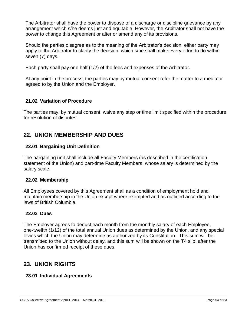The Arbitrator shall have the power to dispose of a discharge or discipline grievance by any arrangement which s/he deems just and equitable. However, the Arbitrator shall not have the power to change this Agreement or alter or amend any of its provisions.

Should the parties disagree as to the meaning of the Arbitrator's decision, either party may apply to the Arbitrator to clarify the decision, which s/he shall make every effort to do within seven (7) days.

Each party shall pay one half (1/2) of the fees and expenses of the Arbitrator.

At any point in the process, the parties may by mutual consent refer the matter to a mediator agreed to by the Union and the Employer.

## **21.02 Variation of Procedure**

The parties may, by mutual consent, waive any step or time limit specified within the procedure for resolution of disputes.

# **22. UNION MEMBERSHIP AND DUES**

## **22.01 Bargaining Unit Definition**

The bargaining unit shall include all Faculty Members (as described in the certification statement of the Union) and part-time Faculty Members, whose salary is determined by the salary scale.

### **22.02 Membership**

All Employees covered by this Agreement shall as a condition of employment hold and maintain membership in the Union except where exempted and as outlined according to the laws of British Columbia.

### **22.03 Dues**

The Employer agrees to deduct each month from the monthly salary of each Employee, one-twelfth (1/12) of the total annual Union dues as determined by the Union, and any special levies which the Union may determine as authorized by its Constitution. This sum will be transmitted to the Union without delay, and this sum will be shown on the T4 slip, after the Union has confirmed receipt of these dues.

# **23. UNION RIGHTS**

## **23.01 Individual Agreements**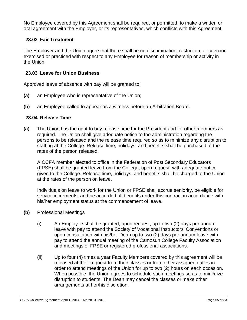No Employee covered by this Agreement shall be required, or permitted, to make a written or oral agreement with the Employer, or its representatives, which conflicts with this Agreement.

## **23.02 Fair Treatment**

The Employer and the Union agree that there shall be no discrimination, restriction, or coercion exercised or practiced with respect to any Employee for reason of membership or activity in the Union.

## **23.03 Leave for Union Business**

Approved leave of absence with pay will be granted to:

- **(a)** an Employee who is representative of the Union;
- **(b)** an Employee called to appear as a witness before an Arbitration Board.

## **23.04 Release Time**

**(a)** The Union has the right to buy release time for the President and for other members as required. The Union shall give adequate notice to the administration regarding the persons to be released and the release time required so as to minimize any disruption to staffing at the College. Release time, holidays, and benefits shall be purchased at the rates of the person released.

A CCFA member elected to office in the Federation of Post Secondary Educators (FPSE) shall be granted leave from the College, upon request, with adequate notice given to the College. Release time, holidays, and benefits shall be charged to the Union at the rates of the person on leave.

Individuals on leave to work for the Union or FPSE shall accrue seniority, be eligible for service increments, and be accorded all benefits under this contract in accordance with his/her employment status at the commencement of leave.

- **(b)** Professional Meetings
	- (i) An Employee shall be granted, upon request, up to two (2) days per annum leave with pay to attend the Society of Vocational Instructors' Conventions or upon consultation with his/her Dean up to two (2) days per annum leave with pay to attend the annual meeting of the Camosun College Faculty Association and meetings of FPSE or registered professional associations.
	- (ii) Up to four (4) times a year Faculty Members covered by this agreement will be released at their request from their classes or from other assigned duties in order to attend meetings of the Union for up to two (2) hours on each occasion. When possible, the Union agrees to schedule such meetings so as to minimize disruption to students. The Dean may cancel the classes or make other arrangements at her/his discretion.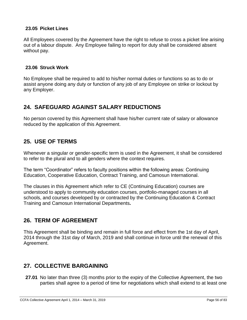## **23.05 Picket Lines**

All Employees covered by the Agreement have the right to refuse to cross a picket line arising out of a labour dispute. Any Employee failing to report for duty shall be considered absent without pay.

#### **23.06 Struck Work**

No Employee shall be required to add to his/her normal duties or functions so as to do or assist anyone doing any duty or function of any job of any Employee on strike or lockout by any Employer.

# **24. SAFEGUARD AGAINST SALARY REDUCTIONS**

No person covered by this Agreement shall have his/her current rate of salary or allowance reduced by the application of this Agreement.

## **25. USE OF TERMS**

Whenever a singular or gender-specific term is used in the Agreement, it shall be considered to refer to the plural and to all genders where the context requires.

The term "Coordinator" refers to faculty positions within the following areas: Continuing Education, Cooperative Education, Contract Training, and Camosun International.

The clauses in this Agreement which refer to CE (Continuing Education) courses are understood to apply to community education courses, portfolio-managed courses in all schools, and courses developed by or contracted by the Continuing Education & Contract Training and Camosun International Departments**.**

# **26. TERM OF AGREEMENT**

This Agreement shall be binding and remain in full force and effect from the 1st day of April, 2014 through the 31st day of March, 2019 and shall continue in force until the renewal of this Agreement.

# **27. COLLECTIVE BARGAINING**

**27.01** No later than three (3) months prior to the expiry of the Collective Agreement, the two parties shall agree to a period of time for negotiations which shall extend to at least one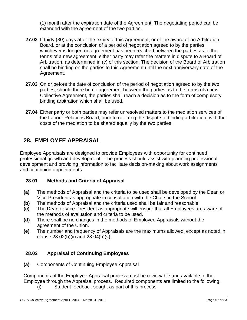(1) month after the expiration date of the Agreement. The negotiating period can be extended with the agreement of the two parties.

- **27.02** If thirty (30) days after the expiry of this Agreement, or of the award of an Arbitration Board, or at the conclusion of a period of negotiation agreed to by the parties, whichever is longer, no agreement has been reached between the parties as to the terms of a new agreement, either party may refer the matters in dispute to a Board of Arbitration, as determined in (c) of this section. The decision of the Board of Arbitration shall be binding on the parties to this Agreement until the next anniversary date of the Agreement.
- **27.03** On or before the date of conclusion of the period of negotiation agreed to by the two parties, should there be no agreement between the parties as to the terms of a new Collective Agreement, the parties shall reach a decision as to the form of compulsory binding arbitration which shall be used.
- **27.04** Either party or both parties may refer unresolved matters to the mediation services of the Labour Relations Board, prior to referring the dispute to binding arbitration, with the costs of the mediation to be shared equally by the two parties.

# **28. EMPLOYEE APPRAISAL**

Employee Appraisals are designed to provide Employees with opportunity for continued professional growth and development. The process should assist with planning professional development and providing information to facilitate decision-making about work assignments and continuing appointments.

## **28.01 Methods and Criteria of Appraisal**

- **(a)** The methods of Appraisal and the criteria to be used shall be developed by the Dean or Vice-President as appropriate in consultation with the Chairs in the School.
- **(b)** The methods of Appraisal and the criteria used shall be fair and reasonable.
- **(c)** The Dean or Vice-President as appropriate will ensure that all Employees are aware of the methods of evaluation and criteria to be used.
- **(d)** There shall be no changes in the methods of Employee Appraisals without the agreement of the Union.
- **(e)** The number and frequency of Appraisals are the maximums allowed, except as noted in clause  $28.02(b)(ii)$  and  $28.04(b)(v)$ .

## **28.02 Appraisal of Continuing Employees**

**(a)** Components of Continuing Employee Appraisal

Components of the Employee Appraisal process must be reviewable and available to the Employee through the Appraisal process. Required components are limited to the following:

(i) Student feedback sought as part of this process.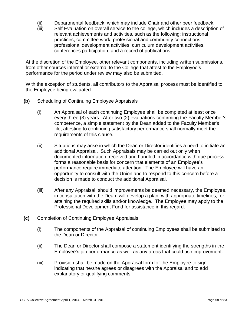- (ii) Departmental feedback, which may include Chair and other peer feedback.
- (iii) Self Evaluation on overall service to the college, which includes a description of relevant achievements and activities, such as the following: instructional practices, committee work, professional and community connections, professional development activities, curriculum development activities, conferences participation, and a record of publications.

At the discretion of the Employee, other relevant components, including written submissions, from other sources internal or external to the College that attest to the Employee's performance for the period under review may also be submitted.

With the exception of students, all contributors to the Appraisal process must be identified to the Employee being evaluated.

- **(b)** Scheduling of Continuing Employee Appraisals
	- (i) An Appraisal of each continuing Employee shall be completed at least once every three (3) years. After two (2) evaluations confirming the Faculty Member's competence, a simple statement by the Dean added to the Faculty Member's file, attesting to continuing satisfactory performance shall normally meet the requirements of this clause.
	- (ii) Situations may arise in which the Dean or Director identifies a need to initiate an additional Appraisal. Such Appraisals may be carried out only when documented information, received and handled in accordance with due process, forms a reasonable basis for concern that elements of an Employee's performance require immediate attention. The Employee will have an opportunity to consult with the Union and to respond to this concern before a decision is made to conduct the additional Appraisal.
	- (iii) After any Appraisal, should improvements be deemed necessary, the Employee, in consultation with the Dean, will develop a plan, with appropriate timelines, for attaining the required skills and/or knowledge. The Employee may apply to the Professional Development Fund for assistance in this regard.
- **(c)** Completion of Continuing Employee Appraisals
	- (i) The components of the Appraisal of continuing Employees shall be submitted to the Dean or Director.
	- (ii) The Dean or Director shall compose a statement identifying the strengths in the Employee's job performance as well as any areas that could use improvement.
	- (iii) Provision shall be made on the Appraisal form for the Employee to sign indicating that he/she agrees or disagrees with the Appraisal and to add explanatory or qualifying comments.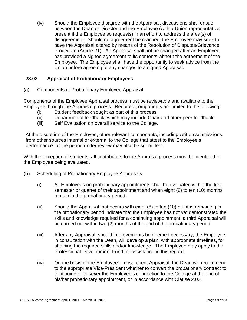(iv) Should the Employee disagree with the Appraisal, discussions shall ensue between the Dean or Director and the Employee (with a Union representative present if the Employee so requests) in an effort to address the area(s) of disagreement. Should no agreement be reached, the Employee may seek to have the Appraisal altered by means of the Resolution of Disputes/Grievance Procedure (Article 21). An Appraisal shall not be changed after an Employee has provided a signed agreement to its contents without the agreement of the Employee. The Employee shall have the opportunity to seek advice from the Union before agreeing to any changes to a signed Appraisal.

## **28.03 Appraisal of Probationary Employees**

**(a)** Components of Probationary Employee Appraisal

Components of the Employee Appraisal process must be reviewable and available to the Employee through the Appraisal process. Required components are limited to the following:

- (i) Student feedback sought as part of this process.
- (ii) Departmental feedback, which may include Chair and other peer feedback.
- (iii) Self Evaluation on overall service to the College.

At the discretion of the Employee, other relevant components, including written submissions, from other sources internal or external to the College that attest to the Employee's performance for the period under review may also be submitted.

With the exception of students, all contributors to the Appraisal process must be identified to the Employee being evaluated.

- **(b)** Scheduling of Probationary Employee Appraisals
	- (i) All Employees on probationary appointments shall be evaluated within the first semester or quarter of their appointment and when eight (8) to ten (10) months remain in the probationary period.
	- (ii) Should the Appraisal that occurs with eight (8) to ten (10) months remaining in the probationary period indicate that the Employee has not yet demonstrated the skills and knowledge required for a continuing appointment, a third Appraisal will be carried out within two (2) months of the end of the probationary period.
	- (iii) After any Appraisal, should improvements be deemed necessary, the Employee, in consultation with the Dean, will develop a plan, with appropriate timelines, for attaining the required skills and/or knowledge. The Employee may apply to the Professional Development Fund for assistance in this regard.
	- (iv) On the basis of the Employee's most recent Appraisal, the Dean will recommend to the appropriate Vice-President whether to convert the probationary contract to continuing or to sever the Employee's connection to the College at the end of his/her probationary appointment, or in accordance with Clause 2.03.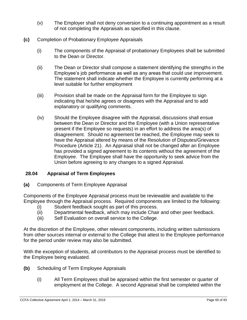- (v) The Employer shall not deny conversion to a continuing appointment as a result of not completing the Appraisals as specified in this clause.
- **(c)** Completion of Probationary Employee Appraisals
	- (i) The components of the Appraisal of probationary Employees shall be submitted to the Dean or Director.
	- (ii) The Dean or Director shall compose a statement identifying the strengths in the Employee's job performance as well as any areas that could use improvement. The statement shall indicate whether the Employee is currently performing at a level suitable for further employment
	- (iii) Provision shall be made on the Appraisal form for the Employee to sign indicating that he/she agrees or disagrees with the Appraisal and to add explanatory or qualifying comments.
	- (iv) Should the Employee disagree with the Appraisal, discussions shall ensue between the Dean or Director and the Employee (with a Union representative present if the Employee so requests) in an effort to address the area(s) of disagreement. Should no agreement be reached, the Employee may seek to have the Appraisal altered by means of the Resolution of Disputes/Grievance Procedure (Article 21). An Appraisal shall not be changed after an Employee has provided a signed agreement to its contents without the agreement of the Employee. The Employee shall have the opportunity to seek advice from the Union before agreeing to any changes to a signed Appraisal.

## **28.04 Appraisal of Term Employees**

**(a)** Components of Term Employee Appraisal

Components of the Employee Appraisal process must be reviewable and available to the Employee through the Appraisal process. Required components are limited to the following:

- (i) Student feedback sought as part of this process.
- (ii) Departmental feedback, which may include Chair and other peer feedback.
- (iii) Self Evaluation on overall service to the College.

At the discretion of the Employee, other relevant components, including written submissions from other sources internal or external to the College that attest to the Employee performance for the period under review may also be submitted.

With the exception of students, all contributors to the Appraisal process must be identified to the Employee being evaluated.

- **(b)** Scheduling of Term Employee Appraisals
	- (i) All Term Employees shall be appraised within the first semester or quarter of employment at the College. A second Appraisal shall be completed within the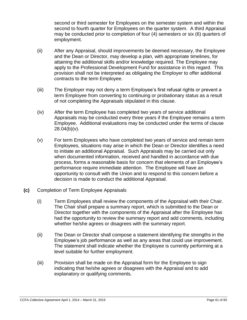second or third semester for Employees on the semester system and within the second to fourth quarter for Employees on the quarter system. A third Appraisal may be conducted prior to completion of four (4) semesters or six (6) quarters of employment.

- (ii) After any Appraisal, should improvements be deemed necessary, the Employee and the Dean or Director, may develop a plan, with appropriate timelines, for attaining the additional skills and/or knowledge required. The Employee may apply to the Professional Development Fund for assistance in this regard. This provision shall not be interpreted as obligating the Employer to offer additional contracts to the term Employee.
- (iii) The Employer may not deny a term Employee's first refusal rights or prevent a term Employee from converting to continuing or probationary status as a result of not completing the Appraisals stipulated in this clause.
- (iv) After the term Employee has completed two years of service additional Appraisals may be conducted every three years if the Employee remains a term Employee. Additional evaluations may be conducted under the terms of clause  $28.04(b)(v)$ .
- (v) For term Employees who have completed two years of service and remain term Employees, situations may arise in which the Dean or Director identifies a need to initiate an additional Appraisal. Such Appraisals may be carried out only when documented information, received and handled in accordance with due process, forms a reasonable basis for concern that elements of an Employee's performance require immediate attention. The Employee will have an opportunity to consult with the Union and to respond to this concern before a decision is made to conduct the additional Appraisal.
- **(c)** Completion of Term Employee Appraisals
	- (i) Term Employees shall review the components of the Appraisal with their Chair. The Chair shall prepare a summary report, which is submitted to the Dean or Director together with the components of the Appraisal after the Employee has had the opportunity to review the summary report and add comments, including whether he/she agrees or disagrees with the summary report.
	- (ii) The Dean or Director shall compose a statement identifying the strengths in the Employee's job performance as well as any areas that could use improvement. The statement shall indicate whether the Employee is currently performing at a level suitable for further employment.
	- (iii) Provision shall be made on the Appraisal form for the Employee to sign indicating that he/she agrees or disagrees with the Appraisal and to add explanatory or qualifying comments.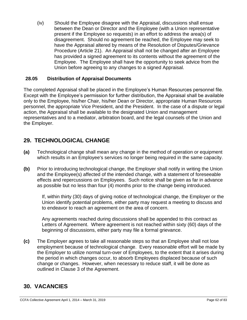(iv) Should the Employee disagree with the Appraisal, discussions shall ensue between the Dean or Director and the Employee (with a Union representative present if the Employee so requests) in an effort to address the area(s) of disagreement. Should no agreement be reached, the Employee may seek to have the Appraisal altered by means of the Resolution of Disputes/Grievance Procedure (Article 21). An Appraisal shall not be changed after an Employee has provided a signed agreement to its contents without the agreement of the Employee. The Employee shall have the opportunity to seek advice from the Union before agreeing to any changes to a signed Appraisal.

## **28.05 Distribution of Appraisal Documents**

The completed Appraisal shall be placed in the Employee's Human Resources personnel file. Except with the Employee's permission for further distribution, the Appraisal shall be available only to the Employee, his/her Chair, his/her Dean or Director, appropriate Human Resources personnel, the appropriate Vice President, and the President. In the case of a dispute or legal action, the Appraisal shall be available to the designated Union and management representatives and to a mediator, arbitration board, and the legal counsels of the Union and the Employer.

# **29. TECHNOLOGICAL CHANGE**

- **(a)** Technological change shall mean any change in the method of operation or equipment which results in an Employee's services no longer being required in the same capacity.
- **(b)** Prior to introducing technological change, the Employer shall notify in writing the Union and the Employee(s) affected of the intended change, with a statement of foreseeable effects and repercussions on Employees. Such notice shall be given as far in advance as possible but no less than four (4) months prior to the change being introduced.

If, within thirty (30) days of giving notice of technological change, the Employer or the Union identify potential problems, either party may request a meeting to discuss and to endeavor to reach an agreement on the area of concern.

Any agreements reached during discussions shall be appended to this contract as Letters of Agreement. Where agreement is not reached within sixty (60) days of the beginning of discussions, either party may file a formal grievance.

**(c)** The Employer agrees to take all reasonable steps so that an Employee shall not lose employment because of technological change. Every reasonable effort will be made by the Employer to utilize normal turn-over of Employees, to the extent that it arises during the period in which changes occur, to absorb Employees displaced because of such change or changes. However, when necessary to reduce staff, it will be done as outlined in Clause 3 of the Agreement.

# **30. VACANCIES**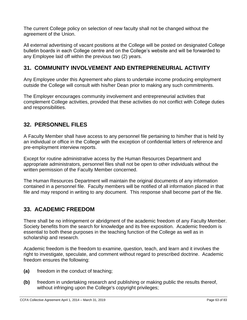The current College policy on selection of new faculty shall not be changed without the agreement of the Union.

All external advertising of vacant positions at the College will be posted on designated College bulletin boards in each College centre and on the College's website and will be forwarded to any Employee laid off within the previous two (2) years.

# **31. COMMUNITY INVOLVEMENT AND ENTREPRENEURIAL ACTIVITY**

Any Employee under this Agreement who plans to undertake income producing employment outside the College will consult with his/her Dean prior to making any such commitments.

The Employer encourages community involvement and entrepreneurial activities that complement College activities, provided that these activities do not conflict with College duties and responsibilities.

# **32. PERSONNEL FILES**

A Faculty Member shall have access to any personnel file pertaining to him/her that is held by an individual or office in the College with the exception of confidential letters of reference and pre-employment interview reports.

Except for routine administrative access by the Human Resources Department and appropriate administrators, personnel files shall not be open to other individuals without the written permission of the Faculty Member concerned.

The Human Resources Department will maintain the original documents of any information contained in a personnel file. Faculty members will be notified of all information placed in that file and may respond in writing to any document. This response shall become part of the file.

# **33. ACADEMIC FREEDOM**

There shall be no infringement or abridgment of the academic freedom of any Faculty Member. Society benefits from the search for knowledge and its free exposition. Academic freedom is essential to both these purposes in the teaching function of the College as well as in scholarship and research.

Academic freedom is the freedom to examine, question, teach, and learn and it involves the right to investigate, speculate, and comment without regard to prescribed doctrine. Academic freedom ensures the following:

- **(a)** freedom in the conduct of teaching;
- **(b)** freedom in undertaking research and publishing or making public the results thereof, without infringing upon the College's copyright privileges;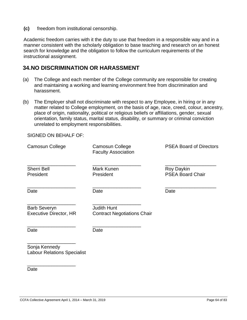**(c)** freedom from institutional censorship.

Academic freedom carries with it the duty to use that freedom in a responsible way and in a manner consistent with the scholarly obligation to base teaching and research on an honest search for knowledge and the obligation to follow the curriculum requirements of the instructional assignment.

# **34.NO DISCRIMINATION OR HARASSMENT**

- (a) The College and each member of the College community are responsible for creating and maintaining a working and learning environment free from discrimination and harassment.
- (b) The Employer shall not discriminate with respect to any Employee, in hiring or in any matter related to College employment, on the basis of age, race, creed, colour, ancestry, place of origin, nationality, political or religious beliefs or affiliations, gender, sexual orientation, family status, marital status, disability, or summary or criminal conviction unrelated to employment responsibilities.

SIGNED ON BEHALF OF:

| Camosun College                                      | Camosun College<br><b>Faculty Association</b> | <b>PSEA Board of Directors</b><br>Roy Daykin<br><b>PSEA Board Chair</b> |  |
|------------------------------------------------------|-----------------------------------------------|-------------------------------------------------------------------------|--|
| <b>Sherri Bell</b><br>President                      | Mark Kunen<br>President                       |                                                                         |  |
| Date                                                 | Date                                          | Date                                                                    |  |
| <b>Barb Severyn</b><br><b>Executive Director, HR</b> |                                               |                                                                         |  |
| Date                                                 | Date                                          |                                                                         |  |
| Conin Konnadu                                        |                                               |                                                                         |  |

Sonja Kennedy Labour Relations Specialist

\_\_\_\_\_\_\_\_\_\_\_\_\_\_\_\_\_\_ Date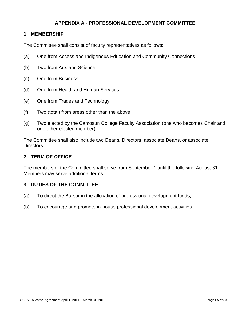## **APPENDIX A - PROFESSIONAL DEVELOPMENT COMMITTEE**

#### **1. MEMBERSHIP**

The Committee shall consist of faculty representatives as follows:

- (a) One from Access and Indigenous Education and Community Connections
- (b) Two from Arts and Science
- (c) One from Business
- (d) One from Health and Human Services
- (e) One from Trades and Technology
- (f) Two (total) from areas other than the above
- (g) Two elected by the Camosun College Faculty Association (one who becomes Chair and one other elected member)

The Committee shall also include two Deans, Directors, associate Deans, or associate Directors.

#### **2. TERM OF OFFICE**

The members of the Committee shall serve from September 1 until the following August 31. Members may serve additional terms.

#### **3. DUTIES OF THE COMMITTEE**

- (a) To direct the Bursar in the allocation of professional development funds;
- (b) To encourage and promote in-house professional development activities.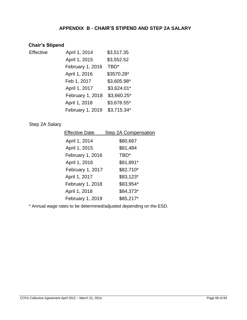## **APPENDIX B - CHAIR'S STIPEND AND STEP 2A SALARY**

# **Chair's Stipend**

| Effective | April 1, 2014    | \$3,517.35   |
|-----------|------------------|--------------|
|           | April 1, 2015    | \$3,552.52   |
|           | February 1, 2016 | TBD*         |
|           | April 1, 2016    | \$3570.28*   |
|           | Feb 1, 2017      | \$3,605.98*  |
|           | April 1, 2017    | \$3,624.01*  |
|           | February 1, 2018 | \$3,660.25*  |
|           | April 1, 2018    | \$3,678.55*  |
|           | February 1, 2019 | $$3,715.34*$ |
|           |                  |              |

## Step 2A Salary

| <b>Effective Date</b> | Step 2A Compensation |
|-----------------------|----------------------|
| April 1, 2014         | \$80,667             |
| April 1, 2015         | \$81,484             |
| February 1, 2016      | TBD*                 |
| April 1, 2016         | \$81,891*            |
| February 1, 2017      | \$82,710*            |
| April 1, 2017         | \$83,123*            |
| February 1, 2018      | \$83,954*            |
| April 1, 2018         | \$84,373*            |
| February 1, 2019      | \$85,217*            |

\* Annual wage rates to be determined/adjusted depending on the ESD.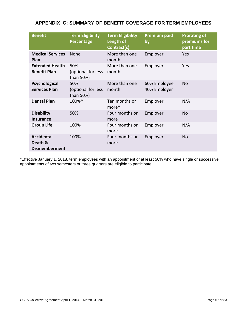| <b>Benefit</b>                                       | <b>Term Eligibility</b><br>Percentage  | <b>Term Eligibility</b><br>Length of<br>Contract(s) | <b>Premium paid</b><br>by    | <b>Prorating of</b><br>premiums for<br>part time |
|------------------------------------------------------|----------------------------------------|-----------------------------------------------------|------------------------------|--------------------------------------------------|
| <b>Medical Services</b><br>Plan                      | None                                   | More than one<br>month                              | Employer                     | Yes                                              |
| <b>Extended Health</b><br><b>Benefit Plan</b>        | 50%<br>(optional for less<br>than 50%) | More than one<br>month                              | Employer                     | Yes                                              |
| Psychological<br><b>Services Plan</b>                | 50%<br>(optional for less<br>than 50%) | More than one<br>month                              | 60% Employee<br>40% Employer | <b>No</b>                                        |
| <b>Dental Plan</b>                                   | 100%*                                  | Ten months or<br>more*                              | Employer                     | N/A                                              |
| <b>Disability</b><br><b>Insurance</b>                | 50%                                    | Four months or<br>more                              | Employer                     | No                                               |
| <b>Group Life</b>                                    | 100%                                   | Four months or<br>more                              | Employer                     | N/A                                              |
| <b>Accidental</b><br>Death &<br><b>Dismemberment</b> | 100%                                   | Four months or<br>more                              | Employer                     | N <sub>o</sub>                                   |

\*Effective January 1, 2018, term employees with an appointment of at least 50% who have single or successive appointments of two semesters or three quarters are eligible to participate.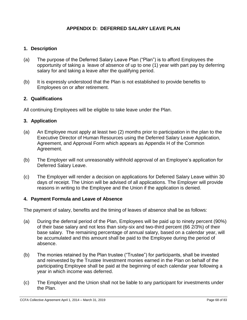## **APPENDIX D: DEFERRED SALARY LEAVE PLAN**

## **1. Description**

- (a) The purpose of the Deferred Salary Leave Plan ("Plan") is to afford Employees the opportunity of taking a leave of absence of up to one (1) year with part pay by deferring salary for and taking a leave after the qualifying period.
- (b) It is expressly understood that the Plan is not established to provide benefits to Employees on or after retirement.

### **2. Qualifications**

All continuing Employees will be eligible to take leave under the Plan.

#### **3. Application**

- (a) An Employee must apply at least two (2) months prior to participation in the plan to the Executive Director of Human Resources using the Deferred Salary Leave Application, Agreement, and Approval Form which appears as Appendix H of the Common Agreement.
- (b) The Employer will not unreasonably withhold approval of an Employee's application for Deferred Salary Leave.
- (c) The Employer will render a decision on applications for Deferred Salary Leave within 30 days of receipt. The Union will be advised of all applications. The Employer will provide reasons in writing to the Employee and the Union if the application is denied.

#### **4. Payment Formula and Leave of Absence**

The payment of salary, benefits and the timing of leaves of absence shall be as follows:

- (a) During the deferral period of the Plan, Employees will be paid up to ninety percent (90%) of their base salary and not less than sixty-six and two-third percent (66 2/3%) of their base salary. The remaining percentage of annual salary, based on a calendar year, will be accumulated and this amount shall be paid to the Employee during the period of absence.
- (b) The monies retained by the Plan trustee ("Trustee") for participants, shall be invested and reinvested by the Trustee Investment monies earned in the Plan on behalf of the participating Employee shall be paid at the beginning of each calendar year following a year in which income was deferred.
- (c) The Employer and the Union shall not be liable to any participant for investments under the Plan.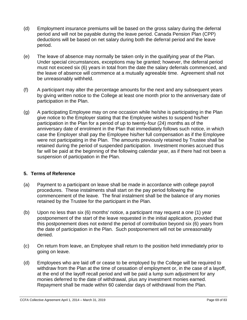- (d) Employment insurance premiums will be based on the gross salary during the deferral period and will not be payable during the leave period. Canada Pension Plan (CPP) deductions will be based on net salary during both the deferral period and the leave period.
- (e) The leave of absence may normally be taken only in the qualifying year of the Plan. Under special circumstances, exceptions may be granted; however, the deferral period must not exceed six (6) years in total from the date the salary deferrals commenced, and the leave of absence will commence at a mutually agreeable time. Agreement shall not be unreasonably withheld.
- (f) A participant may alter the percentage amounts for the next and any subsequent years by giving written notice to the College at least one month prior to the anniversary date of participation in the Plan.
- (g) A participating Employee may on one occasion while he/she is participating in the Plan give notice to the Employer stating that the Employee wishes to suspend his/her participation in the Plan for a period of up to twenty-four (24) months as of the anniversary date of enrolment in the Plan that immediately follows such notice, in which case the Employer shall pay the Employee his/her full compensation as if the Employee were not participating in the Plan. The amounts previously retained by Trustee shall be retained during the period of suspended participation. Investment monies accrued thus far will be paid at the beginning of the following calendar year, as if there had not been a suspension of participation in the Plan.

## **5. Terms of Reference**

- (a) Payment to a participant on leave shall be made in accordance with college payroll procedures. These instalments shall start on the pay period following the commencement of the leave. The final instalment shall be the balance of any monies retained by the Trustee for the participant in the Plan.
- (b) Upon no less than six (6) months' notice, a participant may request a one (1) year postponement of the start of the leave requested in the initial application, provided that this postponement does not extend the period of contribution beyond six (6) years from the date of participation in the Plan. Such postponement will not be unreasonably denied.
- (c) On return from leave, an Employee shall return to the position held immediately prior to going on leave.
- (d) Employees who are laid off or cease to be employed by the College will be required to withdraw from the Plan at the time of cessation of employment or, in the case of a layoff, at the end of the layoff recall period and will be paid a lump sum adjustment for any monies deferred to the date of withdrawal, plus any investment monies earned. Repayment shall be made within 60 calendar days of withdrawal from the Plan.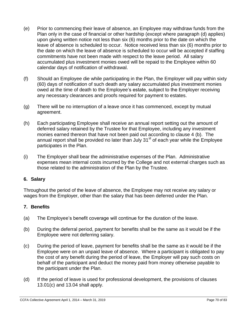- (e) Prior to commencing their leave of absence, an Employee may withdraw funds from the Plan only in the case of financial or other hardship (except where paragraph (d) applies) upon giving written notice not less than six (6) months prior to the date on which the leave of absence is scheduled to occur. Notice received less than six (6) months prior to the date on which the leave of absence is scheduled to occur will be accepted if staffing commitments have not been made with respect to the leave period. All salary accumulated plus investment monies owed will be repaid to the Employee within 60 calendar days of notification of withdrawal.
- (f) Should an Employee die while participating in the Plan, the Employer will pay within sixty (60) days of notification of such death any salary accumulated plus investment monies owed at the time of death to the Employee's estate, subject to the Employer receiving any necessary clearances and proofs required for payment to estates.
- (g) There will be no interruption of a leave once it has commenced, except by mutual agreement.
- (h) Each participating Employee shall receive an annual report setting out the amount of deferred salary retained by the Trustee for that Employee, including any investment monies earned thereon that have not been paid out according to clause 4 (b). The annual report shall be provided no later than July 31 $^{\rm st}$  of each year while the Employee participates in the Plan.
- (i) The Employer shall bear the administrative expenses of the Plan. Administrative expenses mean internal costs incurred by the College and not external charges such as those related to the administration of the Plan by the Trustee.

## **6. Salary**

Throughout the period of the leave of absence, the Employee may not receive any salary or wages from the Employer, other than the salary that has been deferred under the Plan.

## **7. Benefits**

- (a) The Employee's benefit coverage will continue for the duration of the leave.
- (b) During the deferral period, payment for benefits shall be the same as it would be if the Employee were not deferring salary.
- (c) During the period of leave, payment for benefits shall be the same as it would be if the Employee were on an unpaid leave of absence. Where a participant is obligated to pay the cost of any benefit during the period of leave, the Employer will pay such costs on behalf of the participant and deduct the money paid from money otherwise payable to the participant under the Plan.
- (d) If the period of leave is used for professional development, the provisions of clauses 13.01(c) and 13.04 shall apply.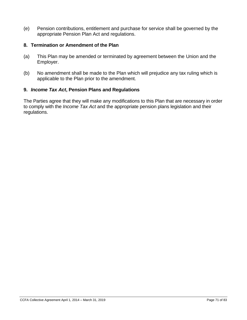(e) Pension contributions, entitlement and purchase for service shall be governed by the appropriate Pension Plan Act and regulations.

### **8. Termination or Amendment of the Plan**

- (a) This Plan may be amended or terminated by agreement between the Union and the Employer.
- (b) No amendment shall be made to the Plan which will prejudice any tax ruling which is applicable to the Plan prior to the amendment.

## **9.** *Income Tax Act***, Pension Plans and Regulations**

The Parties agree that they will make any modifications to this Plan that are necessary in order to comply with the *Income Tax Act* and the appropriate pension plans legislation and their regulations.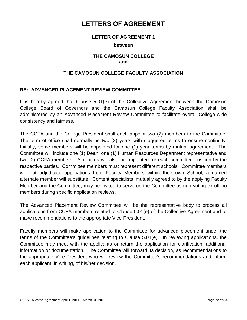# **LETTERS OF AGREEMENT**

#### **LETTER OF AGREEMENT 1**

#### **between**

#### **THE CAMOSUN COLLEGE and**

#### **THE CAMOSUN COLLEGE FACULTY ASSOCIATION**

### **RE: ADVANCED PLACEMENT REVIEW COMMITTEE**

It is hereby agreed that Clause 5.01(e) of the Collective Agreement between the Camosun College Board of Governors and the Camosun College Faculty Association shall be administered by an Advanced Placement Review Committee to facilitate overall College-wide consistency and fairness.

The CCFA and the College President shall each appoint two (2) members to the Committee. The term of office shall normally be two (2) years with staggered terms to ensure continuity. Initially, some members will be appointed for one (1) year terms by mutual agreement. The Committee will include one (1) Dean, one (1) Human Resources Department representative and two (2) CCFA members. Alternates will also be appointed for each committee position by the respective parties. Committee members must represent different schools. Committee members will not adjudicate applications from Faculty Members within their own School; a named alternate member will substitute. Content specialists, mutually agreed to by the applying Faculty Member and the Committee, may be invited to serve on the Committee as non-voting ex-officio members during specific application reviews.

The Advanced Placement Review Committee will be the representative body to process all applications from CCFA members related to Clause 5.01(e) of the Collective Agreement and to make recommendations to the appropriate Vice-President.

Faculty members will make application to the Committee for advanced placement under the terms of the Committee's guidelines relating to Clause 5.01(e). In reviewing applications, the Committee may meet with the applicants or return the application for clarification, additional information or documentation. The Committee will forward its decision, as recommendations to the appropriate Vice-President who will review the Committee's recommendations and inform each applicant, in writing, of his/her decision.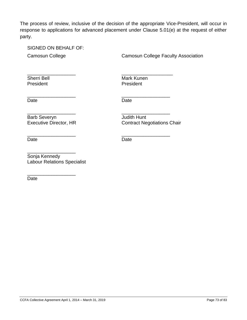The process of review, inclusive of the decision of the appropriate Vice-President, will occur in response to applications for advanced placement under Clause 5.01(e) at the request of either party.

\_\_\_\_\_\_\_\_\_\_\_\_\_\_\_\_\_\_ \_\_\_\_\_\_\_\_\_\_\_\_\_\_\_\_\_\_\_

\_\_\_\_\_\_\_\_\_\_\_\_\_\_\_\_\_\_ \_\_\_\_\_\_\_\_\_\_\_\_\_\_\_\_\_\_

\_\_\_\_\_\_\_\_\_\_\_\_\_\_\_\_\_\_ \_\_\_\_\_\_\_\_\_\_\_\_\_\_\_\_\_\_

SIGNED ON BEHALF OF:

Camosun College Camosun College Faculty Association

President President

Sherri Bell **Mark Kunen** Mark Kunen

Date **Date Date** 

Barb Severyn **Judith Hunt<br>
Executive Director, HR** Contract Ne

\_\_\_\_\_\_\_\_\_\_\_\_\_\_\_\_\_\_ \_\_\_\_\_\_\_\_\_\_\_\_\_\_\_\_\_\_ Contract Negotiations Chair

Date **Date Date** 

\_\_\_\_\_\_\_\_\_\_\_\_\_\_\_\_\_\_ Sonja Kennedy Labour Relations Specialist

\_\_\_\_\_\_\_\_\_\_\_\_\_\_\_\_\_\_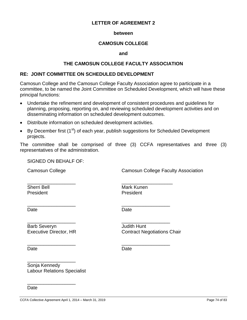### **between**

# **CAMOSUN COLLEGE**

#### **and**

### **THE CAMOSUN COLLEGE FACULTY ASSOCIATION**

### **RE: JOINT COMMITTEE ON SCHEDULED DEVELOPMENT**

Camosun College and the Camosun College Faculty Association agree to participate in a committee, to be named the Joint Committee on Scheduled Development, which will have these principal functions:

- Undertake the refinement and development of consistent procedures and guidelines for planning, proposing, reporting on, and reviewing scheduled development activities and on disseminating information on scheduled development outcomes.
- Distribute information on scheduled development activities.

\_\_\_\_\_\_\_\_\_\_\_\_\_\_\_\_\_\_ \_\_\_\_\_\_\_\_\_\_\_\_\_\_\_\_\_\_

\_\_\_\_\_\_\_\_\_\_\_\_\_\_\_\_\_\_ \_\_\_\_\_\_\_\_\_\_\_\_\_\_\_\_\_\_

 $\bullet$  By December first (1<sup>st</sup>) of each year, publish suggestions for Scheduled Development projects.

The committee shall be comprised of three (3) CCFA representatives and three (3) representatives of the administration.

SIGNED ON BEHALF OF:

Camosun College Camosun College Faculty Association

President **President** 

\_\_\_\_\_\_\_\_\_\_\_\_\_\_\_\_\_\_ \_\_\_\_\_\_\_\_\_\_\_\_\_\_\_\_\_\_\_ Sherri Bell **Mark Kunen** 

Date **Date Date** 

Barb Severyn **Communist Communist Communist Communist Communist Communist Communist Communist Communist Communist Communist Communist Communist Communist Communist Communist Communist Communist Communist Communist Communis** 

\_\_\_\_\_\_\_\_\_\_\_\_\_\_\_\_\_\_

\_\_\_\_\_\_\_\_\_\_\_\_\_\_\_\_\_\_

\_\_\_\_\_\_\_\_\_\_\_\_\_\_\_\_\_\_ \_\_\_\_\_\_\_\_\_\_\_\_\_\_\_\_\_\_ Executive Director, HR Contract Negotiations Chair

Date **Date Date** 

Sonja Kennedy Labour Relations Specialist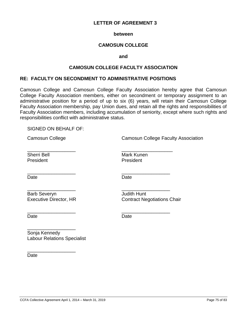#### **between**

# **CAMOSUN COLLEGE**

#### **and**

### **CAMOSUN COLLEGE FACULTY ASSOCIATION**

## **RE: FACULTY ON SECONDMENT TO ADMINISTRATIVE POSITIONS**

\_\_\_\_\_\_\_\_\_\_\_\_\_\_\_\_\_\_ \_\_\_\_\_\_\_\_\_\_\_\_\_\_\_\_\_\_\_

\_\_\_\_\_\_\_\_\_\_\_\_\_\_\_\_\_\_ \_\_\_\_\_\_\_\_\_\_\_\_\_\_\_\_\_\_

\_\_\_\_\_\_\_\_\_\_\_\_\_\_\_\_\_\_ \_\_\_\_\_\_\_\_\_\_\_\_\_\_\_\_\_\_

\_\_\_\_\_\_\_\_\_\_\_\_\_\_\_\_\_\_ \_\_\_\_\_\_\_\_\_\_\_\_\_\_\_\_\_\_

Camosun College and Camosun College Faculty Association hereby agree that Camosun College Faculty Association members, either on secondment or temporary assignment to an administrative position for a period of up to six (6) years, will retain their Camosun College Faculty Association membership, pay Union dues, and retain all the rights and responsibilities of Faculty Association members, including accumulation of seniority, except where such rights and responsibilities conflict with administrative status.

#### SIGNED ON BEHALF OF:

Camosun College Camosun College Faculty Association

Sherri Bell **Mark Kunen** President **President** 

Date **Date Date** 

Barb Severyn **Communist Communist Communist Communist Communist Communist Communist Communist Communist Communist Communist Communist Communist Communist Communist Communist Communist Communist Communist Communist Communis** 

\_\_\_\_\_\_\_\_\_\_\_\_\_\_\_\_\_\_

\_\_\_\_\_\_\_\_\_\_\_\_\_\_\_\_\_\_

Executive Director, HR Contract Negotiations Chair

Date **Date Date** 

Sonja Kennedy Labour Relations Specialist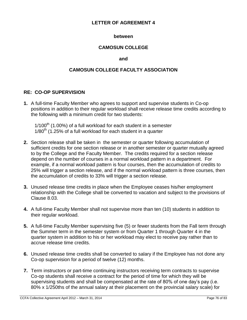### **between**

# **CAMOSUN COLLEGE**

### **and**

# **CAMOSUN COLLEGE FACULTY ASSOCIATION**

## **RE: CO-OP SUPERVISION**

**1.** A full-time Faculty Member who agrees to support and supervise students in Co-op positions in addition to their regular workload shall receive release time credits according to the following with a minimum credit for two students:

 $1/100<sup>th</sup>$  (1.00%) of a full workload for each student in a semester  $1/80<sup>th</sup>$  (1.25% of a full workload for each student in a quarter

- **2.** Section release shall be taken in the semester or quarter following accumulation of sufficient credits for one section release or in another semester or quarter mutually agreed to by the College and the Faculty Member. The credits required for a section release depend on the number of courses in a normal workload pattern in a department. For example, if a normal workload pattern is four courses, then the accumulation of credits to 25% will trigger a section release, and if the normal workload pattern is three courses, then the accumulation of credits to 33% will trigger a section release.
- **3.** Unused release time credits in place when the Employee ceases his/her employment relationship with the College shall be converted to vacation and subject to the provisions of Clause 8.03.
- **4.** A full-time Faculty Member shall not supervise more than ten (10) students in addition to their regular workload.
- **5.** A full-time Faculty Member supervising five (5) or fewer students from the Fall term through the Summer term in the semester system or from Quarter 1 through Quarter 4 in the quarter system in addition to his or her workload may elect to receive pay rather than to accrue release time credits.
- **6.** Unused release time credits shall be converted to salary if the Employee has not done any Co-op supervision for a period of twelve (12) months.
- **7.** Term instructors or part-time continuing instructors receiving term contracts to supervise Co-op students shall receive a contract for the period of time for which they will be supervising students and shall be compensated at the rate of 80% of one day's pay (i.e. 80% x 1/250ths of the annual salary at their placement on the provincial salary scale) for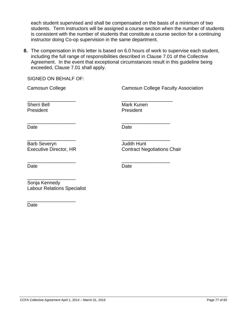each student supervised and shall be compensated on the basis of a minimum of two students. Term instructors will be assigned a course section when the number of students is consistent with the number of students that constitute a course section for a continuing instructor doing Co-op supervision in the same department.

**8.** The compensation in this letter is based on 6.0 hours of work to supervise each student, including the full range of responsibilities described in Clause 7.01 of the Collective Agreement. In the event that exceptional circumstances result in this guideline being exceeded, Clause 7.01 shall apply.

\_\_\_\_\_\_\_\_\_\_\_\_\_\_\_\_\_\_ \_\_\_\_\_\_\_\_\_\_\_\_\_\_\_\_\_\_\_

\_\_\_\_\_\_\_\_\_\_\_\_\_\_\_\_\_\_ \_\_\_\_\_\_\_\_\_\_\_\_\_\_\_\_\_\_

\_\_\_\_\_\_\_\_\_\_\_\_\_\_\_\_\_\_ \_\_\_\_\_\_\_\_\_\_\_\_\_\_\_\_\_\_

SIGNED ON BEHALF OF:

Camosun College Camosun College Faculty Association

President **President** President

Sherri Bell **Mark Kunen** Mark Kunen

Date **Date Date** 

Barb Severyn **International Severyn** Judith Hunt

Executive Director, HR Contract Negotiations Chair

Date **Date Date** 

\_\_\_\_\_\_\_\_\_\_\_\_\_\_\_\_\_\_ \_\_\_\_\_\_\_\_\_\_\_\_\_\_\_\_\_\_

\_\_\_\_\_\_\_\_\_\_\_\_\_\_\_\_\_\_ Sonja Kennedy Labour Relations Specialist

\_\_\_\_\_\_\_\_\_\_\_\_\_\_\_\_\_\_ Date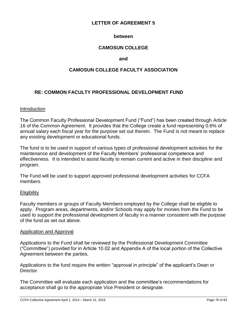## **between**

# **CAMOSUN COLLEGE**

### **and**

## **CAMOSUN COLLEGE FACULTY ASSOCIATION**

# **RE: COMMON FACULTY PROFESSIONAL DEVELOPMENT FUND**

#### Introduction

The Common Faculty Professional Development Fund ("Fund") has been created through Article 16 of the Common Agreement. It provides that the College create a fund representing 0.6% of annual salary each fiscal year for the purpose set out therein. The Fund is not meant to replace any existing development or educational funds.

The fund is to be used in support of various types of professional development activities for the maintenance and development of the Faculty Members' professional competence and effectiveness. It is intended to assist faculty to remain current and active in their discipline and program.

The Fund will be used to support approved professional development activities for CCFA members.

### **Eligibility**

Faculty members or groups of Faculty Members employed by the College shall be eligible to apply. Program areas, departments, and/or Schools may apply for monies from the Fund to be used to support the professional development of faculty in a manner consistent with the purpose of the fund as set out above.

#### Application and Approval

Applications to the Fund shall be reviewed by the Professional Development Committee ("Committee") provided for in Article 10.02 and Appendix A of the local portion of the Collective Agreement between the parties.

Applications to the fund require the written "approval in principle" of the applicant's Dean or Director.

The Committee will evaluate each application and the committee's recommendations for acceptance shall go to the appropriate Vice President or designate.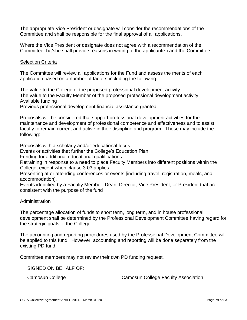The appropriate Vice President or designate will consider the recommendations of the Committee and shall be responsible for the final approval of all applications.

Where the Vice President or designate does not agree with a recommendation of the Committee, he/she shall provide reasons in writing to the applicant(s) and the Committee.

# **Selection Criteria**

The Committee will review all applications for the Fund and assess the merits of each application based on a number of factors including the following:

The value to the College of the proposed professional development activity The value to the Faculty Member of the proposed professional development activity Available funding

Previous professional development financial assistance granted

Proposals will be considered that support professional development activities for the maintenance and development of professional competence and effectiveness and to assist faculty to remain current and active in their discipline and program. These may include the following:

Proposals with a scholarly and/or educational focus

Events or activities that further the College's Education Plan

Funding for additional educational qualifications

Retraining in response to a need to place Faculty Members into different positions within the College, except when clause 3.03 applies.

Presenting at or attending conferences or events [including travel, registration, meals, and accommodation].

Events identified by a Faculty Member, Dean, Director, Vice President, or President that are consistent with the purpose of the fund

## Administration

The percentage allocation of funds to short term, long term, and in house professional development shall be determined by the Professional Development Committee having regard for the strategic goals of the College.

The accounting and reporting procedures used by the Professional Development Committee will be applied to this fund. However, accounting and reporting will be done separately from the existing PD fund.

Committee members may not review their own PD funding request.

SIGNED ON BEHALF OF:

Camosun College Camosun College Faculty Association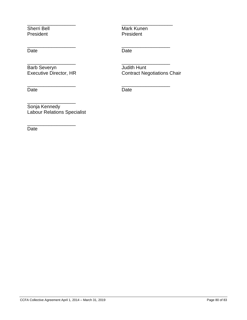President

Date **Date Date** 

Barb Severyn Judith Hunt<br>
Executive Director, HR<br>
Contract Ne

\_\_\_\_\_\_\_\_\_\_\_\_\_\_\_\_\_\_

\_\_\_\_\_\_\_\_\_\_\_\_\_\_\_\_\_\_

Date Date

Sherri Bell<br>
President<br>
President<br>
President

\_\_\_\_\_\_\_\_\_\_\_\_\_\_\_\_\_\_ \_\_\_\_\_\_\_\_\_\_\_\_\_\_\_\_\_\_\_

\_\_\_\_\_\_\_\_\_\_\_\_\_\_\_\_\_\_ \_\_\_\_\_\_\_\_\_\_\_\_\_\_\_\_\_\_

\_\_\_\_\_\_\_\_\_\_\_\_\_\_\_\_\_\_ \_\_\_\_\_\_\_\_\_\_\_\_\_\_\_\_\_\_

\_\_\_\_\_\_\_\_\_\_\_\_\_\_\_\_\_\_ \_\_\_\_\_\_\_\_\_\_\_\_\_\_\_\_\_\_ Contract Negotiations Chair

Sonja Kennedy Labour Relations Specialist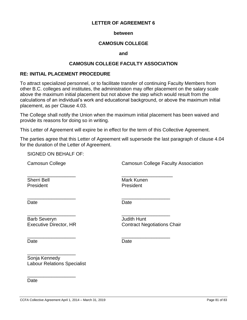#### **between**

## **CAMOSUN COLLEGE**

#### **and**

### **CAMOSUN COLLEGE FACULTY ASSOCIATION**

## **RE: INITIAL PLACEMENT PROCEDURE**

To attract specialized personnel, or to facilitate transfer of continuing Faculty Members from other B.C. colleges and institutes, the administration may offer placement on the salary scale above the maximum initial placement but not above the step which would result from the calculations of an individual's work and educational background, or above the maximum initial placement, as per Clause 4.03.

The College shall notify the Union when the maximum initial placement has been waived and provide its reasons for doing so in writing.

This Letter of Agreement will expire be in effect for the term of this Collective Agreement.

The parties agree that this Letter of Agreement will supersede the last paragraph of clause 4.04 for the duration of the Letter of Agreement.

SIGNED ON BEHALF OF:

Camosun College Camosun College Faculty Association

\_\_\_\_\_\_\_\_\_\_\_\_\_\_\_\_\_\_ \_\_\_\_\_\_\_\_\_\_\_\_\_\_\_\_\_\_\_ President President

Sherri Bell **Mark Kunen** 

\_\_\_\_\_\_\_\_\_\_\_\_\_\_\_\_\_\_ \_\_\_\_\_\_\_\_\_\_\_\_\_\_\_\_\_\_

Date **Date Date** 

\_\_\_\_\_\_\_\_\_\_\_\_\_\_\_\_\_\_ \_\_\_\_\_\_\_\_\_\_\_\_\_\_\_\_\_\_

Barb Severyn **Barb Severyn Judith Hunt** Executive Director, HR Contract Negotiations Chair

\_\_\_\_\_\_\_\_\_\_\_\_\_\_\_\_\_\_

\_\_\_\_\_\_\_\_\_\_\_\_\_\_\_\_\_\_

\_\_\_\_\_\_\_\_\_\_\_\_\_\_\_\_\_\_ \_\_\_\_\_\_\_\_\_\_\_\_\_\_\_\_\_\_

Date **Date Date** 

Sonja Kennedy Labour Relations Specialist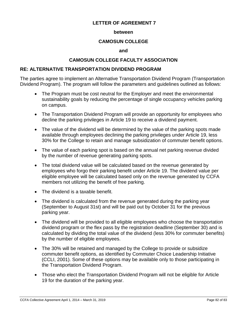### **between**

## **CAMOSUN COLLEGE**

#### **and**

# **CAMOSUN COLLEGE FACULTY ASSOCIATION**

## **RE: ALTERNATIVE TRANSPORTATION DIVIDEND PROGRAM**

The parties agree to implement an Alternative Transportation Dividend Program (Transportation Dividend Program). The program will follow the parameters and guidelines outlined as follows:

- The Program must be cost neutral for the Employer and meet the environmental sustainability goals by reducing the percentage of single occupancy vehicles parking on campus.
- The Transportation Dividend Program will provide an opportunity for employees who decline the parking privileges in Article 19 to receive a dividend payment.
- The value of the dividend will be determined by the value of the parking spots made available through employees declining the parking privileges under Article 19, less 30% for the College to retain and manage subsidization of commuter benefit options.
- The value of each parking spot is based on the annual net parking revenue divided by the number of revenue generating parking spots.
- The total dividend value will be calculated based on the revenue generated by employees who forgo their parking benefit under Article 19. The dividend value per eligible employee will be calculated based only on the revenue generated by CCFA members not utilizing the benefit of free parking.
- The dividend is a taxable benefit.
- The dividend is calculated from the revenue generated during the parking year (September to August 31st) and will be paid out by October 31 for the previous parking year.
- The dividend will be provided to all eligible employees who choose the transportation dividend program or the flex pass by the registration deadline (September 30) and is calculated by dividing the total value of the dividend (less 30% for commuter benefits) by the number of eligible employees.
- The 30% will be retained and managed by the College to provide or subsidize commuter benefit options, as identified by Commuter Choice Leadership Initiative (CCLI, 2001). Some of these options may be available only to those participating in the Transportation Dividend Program.
- Those who elect the Transportation Dividend Program will not be eligible for Article 19 for the duration of the parking year.